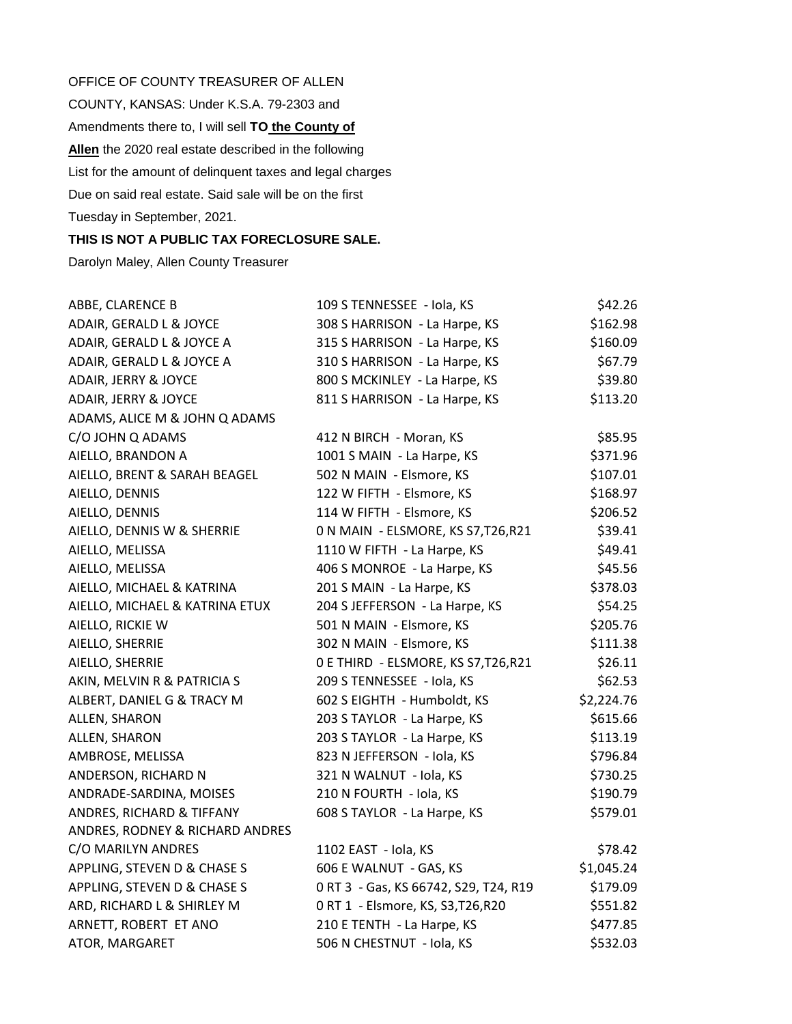OFFICE OF COUNTY TREASURER OF ALLEN COUNTY, KANSAS: Under K.S.A. 79-2303 and Amendments there to, I will sell **TO the County of Allen** the 2020 real estate described in the following List for the amount of delinquent taxes and legal charges Due on said real estate. Said sale will be on the first Tuesday in September, 2021.

## **THIS IS NOT A PUBLIC TAX FORECLOSURE SALE.**

Darolyn Maley, Allen County Treasurer

| ABBE, CLARENCE B                | 109 S TENNESSEE - Iola, KS            | \$42.26    |
|---------------------------------|---------------------------------------|------------|
| ADAIR, GERALD L & JOYCE         | 308 S HARRISON - La Harpe, KS         | \$162.98   |
| ADAIR, GERALD L & JOYCE A       | 315 S HARRISON - La Harpe, KS         | \$160.09   |
| ADAIR, GERALD L & JOYCE A       | 310 S HARRISON - La Harpe, KS         | \$67.79    |
| ADAIR, JERRY & JOYCE            | 800 S MCKINLEY - La Harpe, KS         | \$39.80    |
| ADAIR, JERRY & JOYCE            | 811 S HARRISON - La Harpe, KS         | \$113.20   |
| ADAMS, ALICE M & JOHN Q ADAMS   |                                       |            |
| C/O JOHN Q ADAMS                | 412 N BIRCH - Moran, KS               | \$85.95    |
| AIELLO, BRANDON A               | 1001 S MAIN - La Harpe, KS            | \$371.96   |
| AIELLO, BRENT & SARAH BEAGEL    | 502 N MAIN - Elsmore, KS              | \$107.01   |
| AIELLO, DENNIS                  | 122 W FIFTH - Elsmore, KS             | \$168.97   |
| AIELLO, DENNIS                  | 114 W FIFTH - Elsmore, KS             | \$206.52   |
| AIELLO, DENNIS W & SHERRIE      | 0 N MAIN - ELSMORE, KS S7, T26, R21   | \$39.41    |
| AIELLO, MELISSA                 | 1110 W FIFTH - La Harpe, KS           | \$49.41    |
| AIELLO, MELISSA                 | 406 S MONROE - La Harpe, KS           | \$45.56    |
| AIELLO, MICHAEL & KATRINA       | 201 S MAIN - La Harpe, KS             | \$378.03   |
| AIELLO, MICHAEL & KATRINA ETUX  | 204 S JEFFERSON - La Harpe, KS        | \$54.25    |
| AIELLO, RICKIE W                | 501 N MAIN - Elsmore, KS              | \$205.76   |
| AIELLO, SHERRIE                 | 302 N MAIN - Elsmore, KS              | \$111.38   |
| AIELLO, SHERRIE                 | 0 E THIRD - ELSMORE, KS S7, T26, R21  | \$26.11    |
| AKIN, MELVIN R & PATRICIA S     | 209 S TENNESSEE - Iola, KS            | \$62.53    |
| ALBERT, DANIEL G & TRACY M      | 602 S EIGHTH - Humboldt, KS           | \$2,224.76 |
| ALLEN, SHARON                   | 203 S TAYLOR - La Harpe, KS           | \$615.66   |
| ALLEN, SHARON                   | 203 S TAYLOR - La Harpe, KS           | \$113.19   |
| AMBROSE, MELISSA                | 823 N JEFFERSON - Iola, KS            | \$796.84   |
| ANDERSON, RICHARD N             | 321 N WALNUT - Iola, KS               | \$730.25   |
| ANDRADE-SARDINA, MOISES         | 210 N FOURTH - Iola, KS               | \$190.79   |
| ANDRES, RICHARD & TIFFANY       | 608 S TAYLOR - La Harpe, KS           | \$579.01   |
| ANDRES, RODNEY & RICHARD ANDRES |                                       |            |
| C/O MARILYN ANDRES              | 1102 EAST - Iola, KS                  | \$78.42    |
| APPLING, STEVEN D & CHASE S     | 606 E WALNUT - GAS, KS                | \$1,045.24 |
| APPLING, STEVEN D & CHASE S     | 0 RT 3 - Gas, KS 66742, S29, T24, R19 | \$179.09   |
| ARD, RICHARD L & SHIRLEY M      | 0 RT 1 - Elsmore, KS, S3, T26, R20    | \$551.82   |
| ARNETT, ROBERT ET ANO           | 210 E TENTH - La Harpe, KS            | \$477.85   |
| ATOR, MARGARET                  | 506 N CHESTNUT - Iola, KS             | \$532.03   |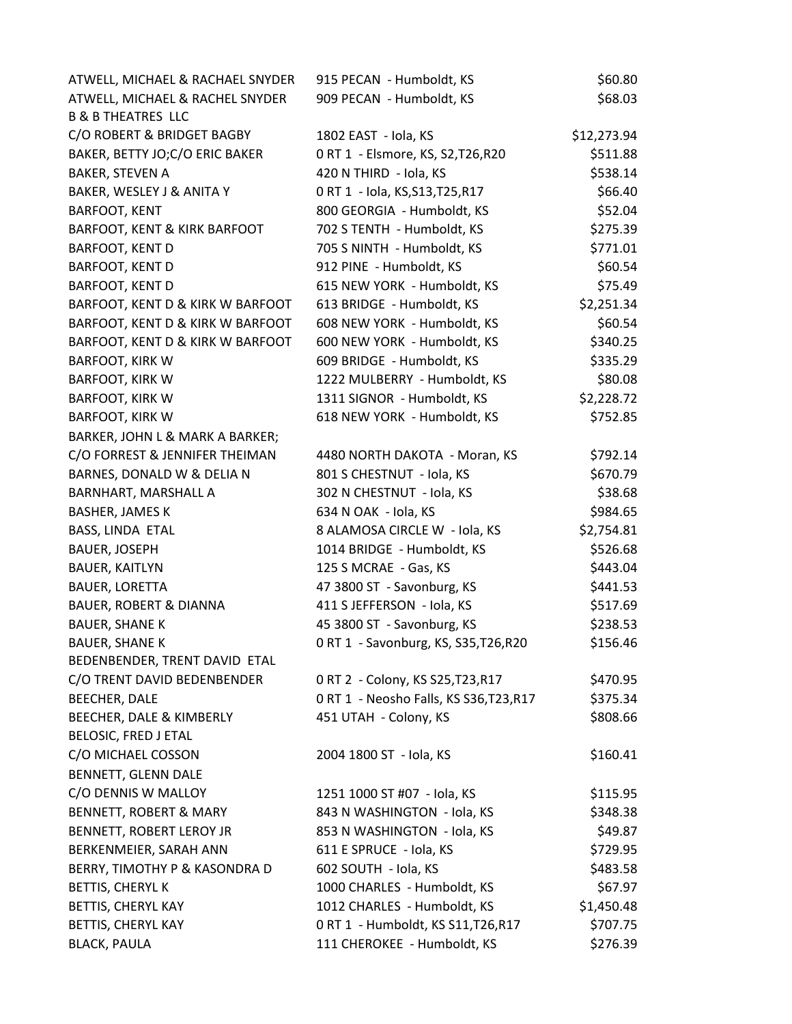| ATWELL, MICHAEL & RACHAEL SNYDER  | 915 PECAN - Humboldt, KS                | \$60.80     |
|-----------------------------------|-----------------------------------------|-------------|
| ATWELL, MICHAEL & RACHEL SNYDER   | 909 PECAN - Humboldt, KS                | \$68.03     |
| <b>B &amp; B THEATRES LLC</b>     |                                         |             |
| C/O ROBERT & BRIDGET BAGBY        | 1802 EAST - Iola, KS                    | \$12,273.94 |
| BAKER, BETTY JO;C/O ERIC BAKER    | 0 RT 1 - Elsmore, KS, S2, T26, R20      | \$511.88    |
| <b>BAKER, STEVEN A</b>            | 420 N THIRD - Iola, KS                  | \$538.14    |
| BAKER, WESLEY J & ANITA Y         | 0 RT 1 - Iola, KS, S13, T25, R17        | \$66.40     |
| <b>BARFOOT, KENT</b>              | 800 GEORGIA - Humboldt, KS              | \$52.04     |
| BARFOOT, KENT & KIRK BARFOOT      | 702 S TENTH - Humboldt, KS              | \$275.39    |
| BARFOOT, KENT D                   | 705 S NINTH - Humboldt, KS              | \$771.01    |
| <b>BARFOOT, KENT D</b>            | 912 PINE - Humboldt, KS                 | \$60.54     |
| BARFOOT, KENT D                   | 615 NEW YORK - Humboldt, KS             | \$75.49     |
| BARFOOT, KENT D & KIRK W BARFOOT  | 613 BRIDGE - Humboldt, KS               | \$2,251.34  |
| BARFOOT, KENT D & KIRK W BARFOOT  | 608 NEW YORK - Humboldt, KS             | \$60.54     |
| BARFOOT, KENT D & KIRK W BARFOOT  | 600 NEW YORK - Humboldt, KS             | \$340.25    |
| <b>BARFOOT, KIRK W</b>            | 609 BRIDGE - Humboldt, KS               | \$335.29    |
| <b>BARFOOT, KIRK W</b>            | 1222 MULBERRY - Humboldt, KS            | \$80.08     |
| <b>BARFOOT, KIRK W</b>            | 1311 SIGNOR - Humboldt, KS              | \$2,228.72  |
| <b>BARFOOT, KIRK W</b>            | 618 NEW YORK - Humboldt, KS             | \$752.85    |
| BARKER, JOHN L & MARK A BARKER;   |                                         |             |
| C/O FORREST & JENNIFER THEIMAN    | 4480 NORTH DAKOTA - Moran, KS           | \$792.14    |
| BARNES, DONALD W & DELIA N        | 801 S CHESTNUT - Iola, KS               | \$670.79    |
| BARNHART, MARSHALL A              | 302 N CHESTNUT - Iola, KS               | \$38.68     |
| <b>BASHER, JAMES K</b>            | 634 N OAK - Iola, KS                    | \$984.65    |
| BASS, LINDA ETAL                  | 8 ALAMOSA CIRCLE W - Iola, KS           | \$2,754.81  |
| <b>BAUER, JOSEPH</b>              | 1014 BRIDGE - Humboldt, KS              | \$526.68    |
| <b>BAUER, KAITLYN</b>             | 125 S MCRAE - Gas, KS                   | \$443.04    |
| <b>BAUER, LORETTA</b>             | 47 3800 ST - Savonburg, KS              | \$441.53    |
| <b>BAUER, ROBERT &amp; DIANNA</b> | 411 S JEFFERSON - Iola, KS              | \$517.69    |
| <b>BAUER, SHANE K</b>             | 45 3800 ST - Savonburg, KS              | \$238.53    |
| <b>BAUER, SHANE K</b>             | 0 RT 1 - Savonburg, KS, S35, T26, R20   | \$156.46    |
| BEDENBENDER, TRENT DAVID ETAL     |                                         |             |
| C/O TRENT DAVID BEDENBENDER       | 0 RT 2 - Colony, KS S25, T23, R17       | \$470.95    |
| BEECHER, DALE                     | 0 RT 1 - Neosho Falls, KS S36, T23, R17 | \$375.34    |
| BEECHER, DALE & KIMBERLY          | 451 UTAH - Colony, KS                   | \$808.66    |
| BELOSIC, FRED J ETAL              |                                         |             |
| C/O MICHAEL COSSON                | 2004 1800 ST - Iola, KS                 | \$160.41    |
| BENNETT, GLENN DALE               |                                         |             |
| C/O DENNIS W MALLOY               | 1251 1000 ST #07 - Iola, KS             | \$115.95    |
| <b>BENNETT, ROBERT &amp; MARY</b> | 843 N WASHINGTON - Iola, KS             | \$348.38    |
| BENNETT, ROBERT LEROY JR          | 853 N WASHINGTON - Iola, KS             | \$49.87     |
| BERKENMEIER, SARAH ANN            | 611 E SPRUCE - Iola, KS                 | \$729.95    |
| BERRY, TIMOTHY P & KASONDRA D     | 602 SOUTH - Iola, KS                    | \$483.58    |
| BETTIS, CHERYL K                  | 1000 CHARLES - Humboldt, KS             | \$67.97     |
| BETTIS, CHERYL KAY                | 1012 CHARLES - Humboldt, KS             | \$1,450.48  |
| BETTIS, CHERYL KAY                | 0 RT 1 - Humboldt, KS S11, T26, R17     | \$707.75    |
| <b>BLACK, PAULA</b>               | 111 CHEROKEE - Humboldt, KS             | \$276.39    |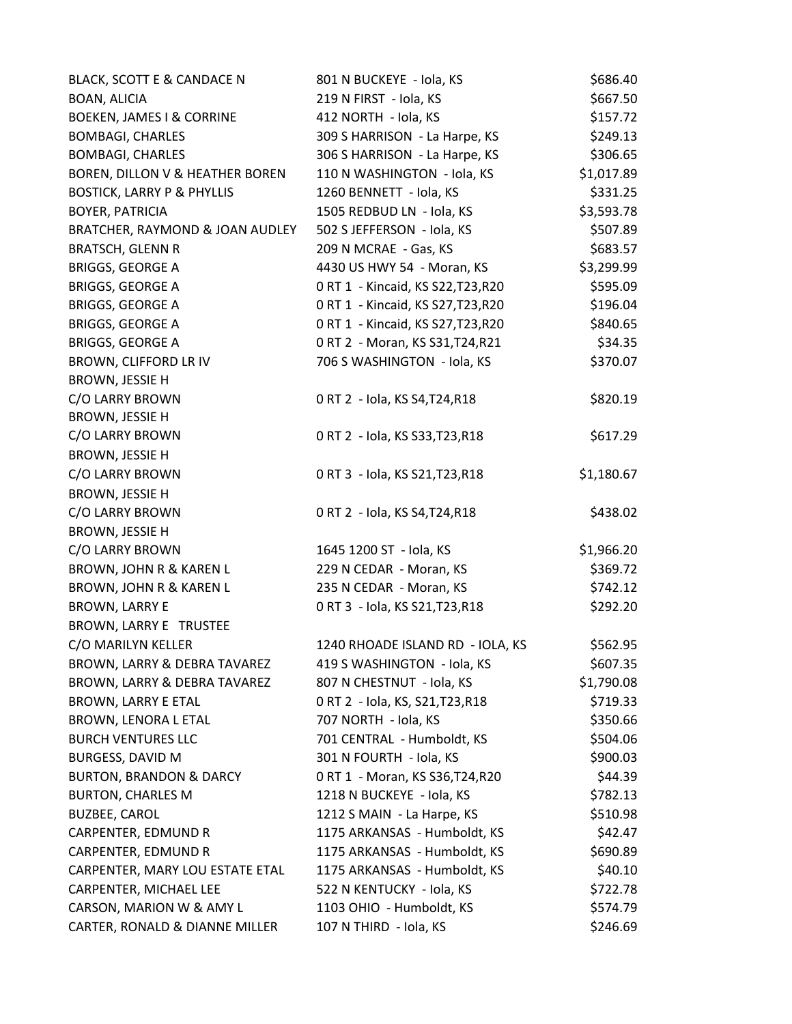| BLACK, SCOTT E & CANDACE N            | 801 N BUCKEYE - Iola, KS           | \$686.40   |
|---------------------------------------|------------------------------------|------------|
| BOAN, ALICIA                          | 219 N FIRST - Iola, KS             | \$667.50   |
| <b>BOEKEN, JAMES I &amp; CORRINE</b>  | 412 NORTH - Iola, KS               | \$157.72   |
| <b>BOMBAGI, CHARLES</b>               | 309 S HARRISON - La Harpe, KS      | \$249.13   |
| <b>BOMBAGI, CHARLES</b>               | 306 S HARRISON - La Harpe, KS      | \$306.65   |
| BOREN, DILLON V & HEATHER BOREN       | 110 N WASHINGTON - Iola, KS        | \$1,017.89 |
| <b>BOSTICK, LARRY P &amp; PHYLLIS</b> | 1260 BENNETT - Iola, KS            | \$331.25   |
| BOYER, PATRICIA                       | 1505 REDBUD LN - Iola, KS          | \$3,593.78 |
| BRATCHER, RAYMOND & JOAN AUDLEY       | 502 S JEFFERSON - Iola, KS         | \$507.89   |
| <b>BRATSCH, GLENN R</b>               | 209 N MCRAE - Gas, KS              | \$683.57   |
| BRIGGS, GEORGE A                      | 4430 US HWY 54 - Moran, KS         | \$3,299.99 |
| <b>BRIGGS, GEORGE A</b>               | 0 RT 1 - Kincaid, KS S22, T23, R20 | \$595.09   |
| <b>BRIGGS, GEORGE A</b>               | 0 RT 1 - Kincaid, KS S27, T23, R20 | \$196.04   |
| BRIGGS, GEORGE A                      | 0 RT 1 - Kincaid, KS S27, T23, R20 | \$840.65   |
| <b>BRIGGS, GEORGE A</b>               | 0 RT 2 - Moran, KS S31, T24, R21   | \$34.35    |
| BROWN, CLIFFORD LR IV                 | 706 S WASHINGTON - Iola, KS        | \$370.07   |
| BROWN, JESSIE H                       |                                    |            |
| C/O LARRY BROWN                       | 0 RT 2 - Iola, KS S4, T24, R18     | \$820.19   |
| BROWN, JESSIE H                       |                                    |            |
| C/O LARRY BROWN                       | 0 RT 2 - Iola, KS S33, T23, R18    | \$617.29   |
| BROWN, JESSIE H                       |                                    |            |
| C/O LARRY BROWN                       | 0 RT 3 - Iola, KS S21, T23, R18    | \$1,180.67 |
| <b>BROWN, JESSIE H</b>                |                                    |            |
| C/O LARRY BROWN                       | 0 RT 2 - Iola, KS S4, T24, R18     | \$438.02   |
| BROWN, JESSIE H                       |                                    |            |
| C/O LARRY BROWN                       | 1645 1200 ST - Iola, KS            | \$1,966.20 |
| BROWN, JOHN R & KAREN L               | 229 N CEDAR - Moran, KS            | \$369.72   |
| BROWN, JOHN R & KAREN L               | 235 N CEDAR - Moran, KS            | \$742.12   |
| <b>BROWN, LARRY E</b>                 | 0 RT 3 - Iola, KS S21, T23, R18    | \$292.20   |
| <b>BROWN, LARRY E TRUSTEE</b>         |                                    |            |
| C/O MARILYN KELLER                    | 1240 RHOADE ISLAND RD - IOLA, KS   | \$562.95   |
| BROWN, LARRY & DEBRA TAVAREZ          | 419 S WASHINGTON - Iola, KS        | \$607.35   |
| BROWN, LARRY & DEBRA TAVAREZ          | 807 N CHESTNUT - Iola, KS          | \$1,790.08 |
| BROWN, LARRY E ETAL                   | 0 RT 2 - Iola, KS, S21, T23, R18   | \$719.33   |
| BROWN, LENORA L ETAL                  | 707 NORTH - Iola, KS               | \$350.66   |
| <b>BURCH VENTURES LLC</b>             | 701 CENTRAL - Humboldt, KS         | \$504.06   |
| <b>BURGESS, DAVID M</b>               | 301 N FOURTH - Iola, KS            | \$900.03   |
| <b>BURTON, BRANDON &amp; DARCY</b>    | 0 RT 1 - Moran, KS S36, T24, R20   | \$44.39    |
| <b>BURTON, CHARLES M</b>              | 1218 N BUCKEYE - Iola, KS          | \$782.13   |
| <b>BUZBEE, CAROL</b>                  | 1212 S MAIN - La Harpe, KS         | \$510.98   |
| CARPENTER, EDMUND R                   | 1175 ARKANSAS - Humboldt, KS       | \$42.47    |
| CARPENTER, EDMUND R                   | 1175 ARKANSAS - Humboldt, KS       | \$690.89   |
| CARPENTER, MARY LOU ESTATE ETAL       | 1175 ARKANSAS - Humboldt, KS       | \$40.10    |
| CARPENTER, MICHAEL LEE                | 522 N KENTUCKY - Iola, KS          | \$722.78   |
| CARSON, MARION W & AMY L              | 1103 OHIO - Humboldt, KS           | \$574.79   |
| CARTER, RONALD & DIANNE MILLER        | 107 N THIRD - Iola, KS             | \$246.69   |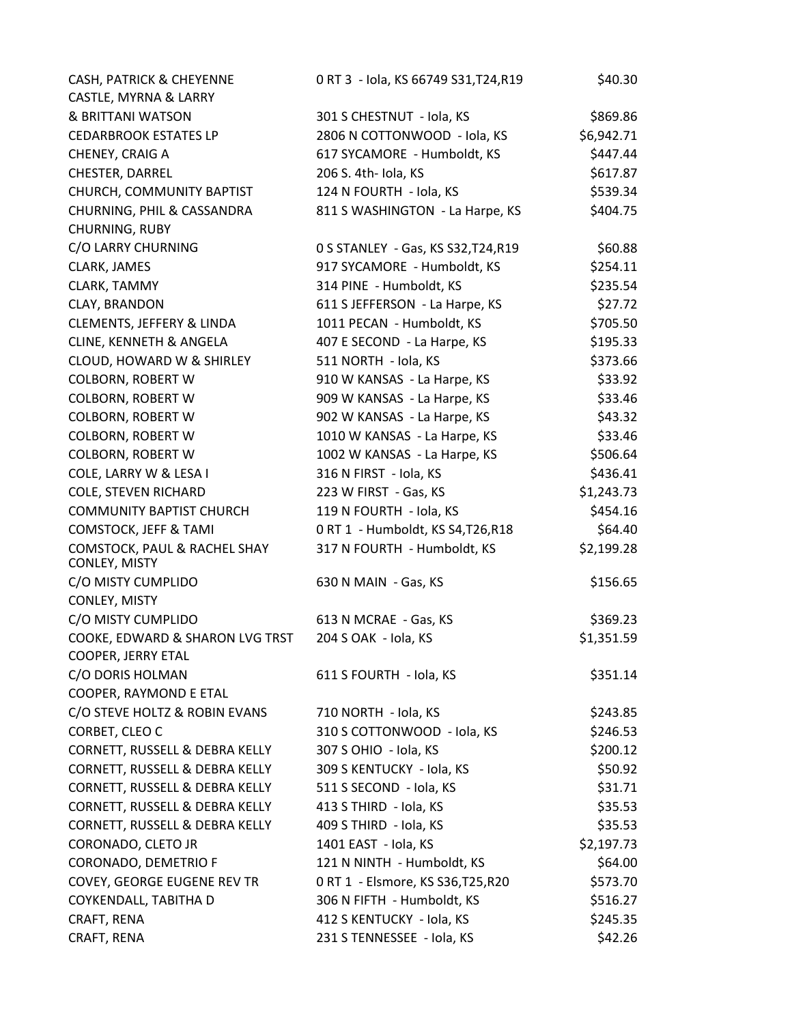| CASH, PATRICK & CHEYENNE                      | 0 RT 3 - Iola, KS 66749 S31, T24, R19 | \$40.30    |
|-----------------------------------------------|---------------------------------------|------------|
| CASTLE, MYRNA & LARRY                         |                                       |            |
| & BRITTANI WATSON                             | 301 S CHESTNUT - Iola, KS             | \$869.86   |
| <b>CEDARBROOK ESTATES LP</b>                  | 2806 N COTTONWOOD - Iola, KS          | \$6,942.71 |
| CHENEY, CRAIG A                               | 617 SYCAMORE - Humboldt, KS           | \$447.44   |
| CHESTER, DARREL                               | 206 S. 4th- Iola, KS                  | \$617.87   |
| CHURCH, COMMUNITY BAPTIST                     | 124 N FOURTH - Iola, KS               | \$539.34   |
| CHURNING, PHIL & CASSANDRA                    | 811 S WASHINGTON - La Harpe, KS       | \$404.75   |
| CHURNING, RUBY                                |                                       |            |
| C/O LARRY CHURNING                            | 0 S STANLEY - Gas, KS S32, T24, R19   | \$60.88    |
| CLARK, JAMES                                  | 917 SYCAMORE - Humboldt, KS           | \$254.11   |
| CLARK, TAMMY                                  | 314 PINE - Humboldt, KS               | \$235.54   |
| CLAY, BRANDON                                 | 611 S JEFFERSON - La Harpe, KS        | \$27.72    |
| CLEMENTS, JEFFERY & LINDA                     | 1011 PECAN - Humboldt, KS             | \$705.50   |
| CLINE, KENNETH & ANGELA                       | 407 E SECOND - La Harpe, KS           | \$195.33   |
| CLOUD, HOWARD W & SHIRLEY                     | 511 NORTH - Iola, KS                  | \$373.66   |
| <b>COLBORN, ROBERT W</b>                      | 910 W KANSAS - La Harpe, KS           | \$33.92    |
| COLBORN, ROBERT W                             | 909 W KANSAS - La Harpe, KS           | \$33.46    |
| <b>COLBORN, ROBERT W</b>                      | 902 W KANSAS - La Harpe, KS           | \$43.32    |
| <b>COLBORN, ROBERT W</b>                      | 1010 W KANSAS - La Harpe, KS          | \$33.46    |
| <b>COLBORN, ROBERT W</b>                      | 1002 W KANSAS - La Harpe, KS          | \$506.64   |
| COLE, LARRY W & LESA I                        | 316 N FIRST - Iola, KS                | \$436.41   |
| <b>COLE, STEVEN RICHARD</b>                   | 223 W FIRST - Gas, KS                 | \$1,243.73 |
| <b>COMMUNITY BAPTIST CHURCH</b>               | 119 N FOURTH - Iola, KS               | \$454.16   |
| <b>COMSTOCK, JEFF &amp; TAMI</b>              | 0 RT 1 - Humboldt, KS S4, T26, R18    | \$64.40    |
| COMSTOCK, PAUL & RACHEL SHAY<br>CONLEY, MISTY | 317 N FOURTH - Humboldt, KS           | \$2,199.28 |
| C/O MISTY CUMPLIDO                            | 630 N MAIN - Gas, KS                  | \$156.65   |
| CONLEY, MISTY                                 |                                       |            |
| C/O MISTY CUMPLIDO                            | 613 N MCRAE - Gas, KS                 | \$369.23   |
| COOKE, EDWARD & SHARON LVG TRST               | 204 S OAK - Iola, KS                  | \$1,351.59 |
| COOPER, JERRY ETAL                            |                                       |            |
| C/O DORIS HOLMAN                              | 611 S FOURTH - Iola, KS               | \$351.14   |
| COOPER, RAYMOND E ETAL                        |                                       |            |
| C/O STEVE HOLTZ & ROBIN EVANS                 | 710 NORTH - Iola, KS                  | \$243.85   |
| CORBET, CLEO C                                | 310 S COTTONWOOD - Iola, KS           | \$246.53   |
| CORNETT, RUSSELL & DEBRA KELLY                | 307 S OHIO - Iola, KS                 | \$200.12   |
| CORNETT, RUSSELL & DEBRA KELLY                | 309 S KENTUCKY - Iola, KS             | \$50.92    |
| CORNETT, RUSSELL & DEBRA KELLY                | 511 S SECOND - Iola, KS               | \$31.71    |
| CORNETT, RUSSELL & DEBRA KELLY                | 413 S THIRD - Iola, KS                | \$35.53    |
| CORNETT, RUSSELL & DEBRA KELLY                | 409 S THIRD - Iola, KS                | \$35.53    |
| CORONADO, CLETO JR                            | 1401 EAST - Iola, KS                  | \$2,197.73 |
| CORONADO, DEMETRIO F                          | 121 N NINTH - Humboldt, KS            | \$64.00    |
| COVEY, GEORGE EUGENE REV TR                   | 0 RT 1 - Elsmore, KS S36, T25, R20    | \$573.70   |
| COYKENDALL, TABITHA D                         | 306 N FIFTH - Humboldt, KS            | \$516.27   |
| CRAFT, RENA                                   | 412 S KENTUCKY - Iola, KS             | \$245.35   |
| CRAFT, RENA                                   | 231 S TENNESSEE - Iola, KS            | \$42.26    |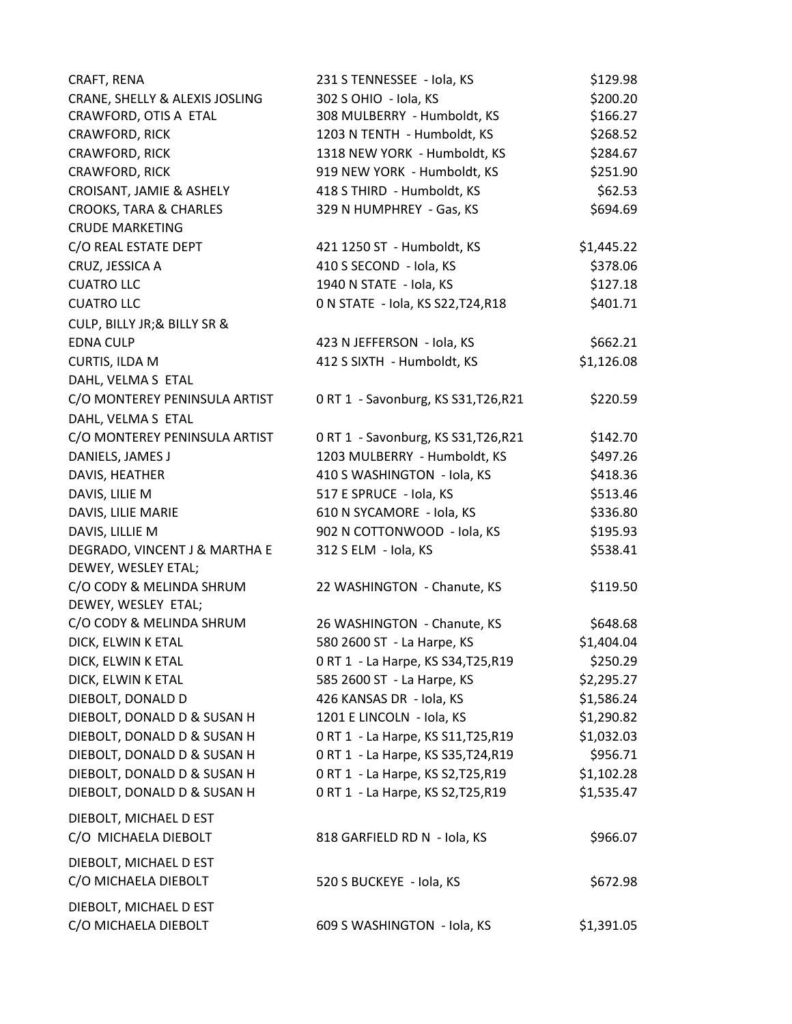| CRAFT, RENA                       | 231 S TENNESSEE - Iola, KS           | \$129.98   |
|-----------------------------------|--------------------------------------|------------|
| CRANE, SHELLY & ALEXIS JOSLING    | 302 S OHIO - Iola, KS                | \$200.20   |
| CRAWFORD, OTIS A ETAL             | 308 MULBERRY - Humboldt, KS          | \$166.27   |
| CRAWFORD, RICK                    | 1203 N TENTH - Humboldt, KS          | \$268.52   |
| CRAWFORD, RICK                    | 1318 NEW YORK - Humboldt, KS         | \$284.67   |
| CRAWFORD, RICK                    | 919 NEW YORK - Humboldt, KS          | \$251.90   |
| CROISANT, JAMIE & ASHELY          | 418 S THIRD - Humboldt, KS           | \$62.53    |
| <b>CROOKS, TARA &amp; CHARLES</b> | 329 N HUMPHREY - Gas, KS             | \$694.69   |
| <b>CRUDE MARKETING</b>            |                                      |            |
| C/O REAL ESTATE DEPT              | 421 1250 ST - Humboldt, KS           | \$1,445.22 |
| CRUZ, JESSICA A                   | 410 S SECOND - Iola, KS              | \$378.06   |
| <b>CUATRO LLC</b>                 | 1940 N STATE - Iola, KS              | \$127.18   |
| <b>CUATRO LLC</b>                 | 0 N STATE - Iola, KS S22, T24, R18   | \$401.71   |
| CULP, BILLY JR; & BILLY SR &      |                                      |            |
| <b>EDNA CULP</b>                  | 423 N JEFFERSON - Iola, KS           | \$662.21   |
| CURTIS, ILDA M                    | 412 S SIXTH - Humboldt, KS           | \$1,126.08 |
| DAHL, VELMA S ETAL                |                                      |            |
| C/O MONTEREY PENINSULA ARTIST     | 0 RT 1 - Savonburg, KS S31, T26, R21 | \$220.59   |
| DAHL, VELMA S ETAL                |                                      |            |
| C/O MONTEREY PENINSULA ARTIST     | 0 RT 1 - Savonburg, KS S31, T26, R21 | \$142.70   |
| DANIELS, JAMES J                  | 1203 MULBERRY - Humboldt, KS         | \$497.26   |
| DAVIS, HEATHER                    | 410 S WASHINGTON - Iola, KS          | \$418.36   |
| DAVIS, LILIE M                    | 517 E SPRUCE - Iola, KS              | \$513.46   |
| DAVIS, LILIE MARIE                | 610 N SYCAMORE - Iola, KS            | \$336.80   |
| DAVIS, LILLIE M                   | 902 N COTTONWOOD - Iola, KS          | \$195.93   |
| DEGRADO, VINCENT J & MARTHA E     | 312 S ELM - Iola, KS                 | \$538.41   |
| DEWEY, WESLEY ETAL;               |                                      |            |
| C/O CODY & MELINDA SHRUM          | 22 WASHINGTON - Chanute, KS          | \$119.50   |
| DEWEY, WESLEY ETAL;               |                                      |            |
| C/O CODY & MELINDA SHRUM          | 26 WASHINGTON - Chanute, KS          | \$648.68   |
| DICK, ELWIN K ETAL                | 580 2600 ST - La Harpe, KS           | \$1,404.04 |
| DICK, ELWIN K ETAL                | 0 RT 1 - La Harpe, KS S34, T25, R19  | \$250.29   |
| DICK, ELWIN K ETAL                | 585 2600 ST - La Harpe, KS           | \$2,295.27 |
| DIEBOLT, DONALD D                 | 426 KANSAS DR - Iola, KS             | \$1,586.24 |
| DIEBOLT, DONALD D & SUSAN H       | 1201 E LINCOLN - Iola, KS            | \$1,290.82 |
| DIEBOLT, DONALD D & SUSAN H       | 0 RT 1 - La Harpe, KS S11, T25, R19  | \$1,032.03 |
| DIEBOLT, DONALD D & SUSAN H       | 0 RT 1 - La Harpe, KS S35, T24, R19  | \$956.71   |
| DIEBOLT, DONALD D & SUSAN H       | 0 RT 1 - La Harpe, KS S2, T25, R19   | \$1,102.28 |
| DIEBOLT, DONALD D & SUSAN H       | 0 RT 1 - La Harpe, KS S2, T25, R19   | \$1,535.47 |
| DIEBOLT, MICHAEL D EST            |                                      |            |
| C/O MICHAELA DIEBOLT              | 818 GARFIELD RD N - Iola, KS         | \$966.07   |
|                                   |                                      |            |
| DIEBOLT, MICHAEL D EST            |                                      |            |
| C/O MICHAELA DIEBOLT              | 520 S BUCKEYE - Iola, KS             | \$672.98   |
| DIEBOLT, MICHAEL D EST            |                                      |            |
| C/O MICHAELA DIEBOLT              | 609 S WASHINGTON - Iola, KS          | \$1,391.05 |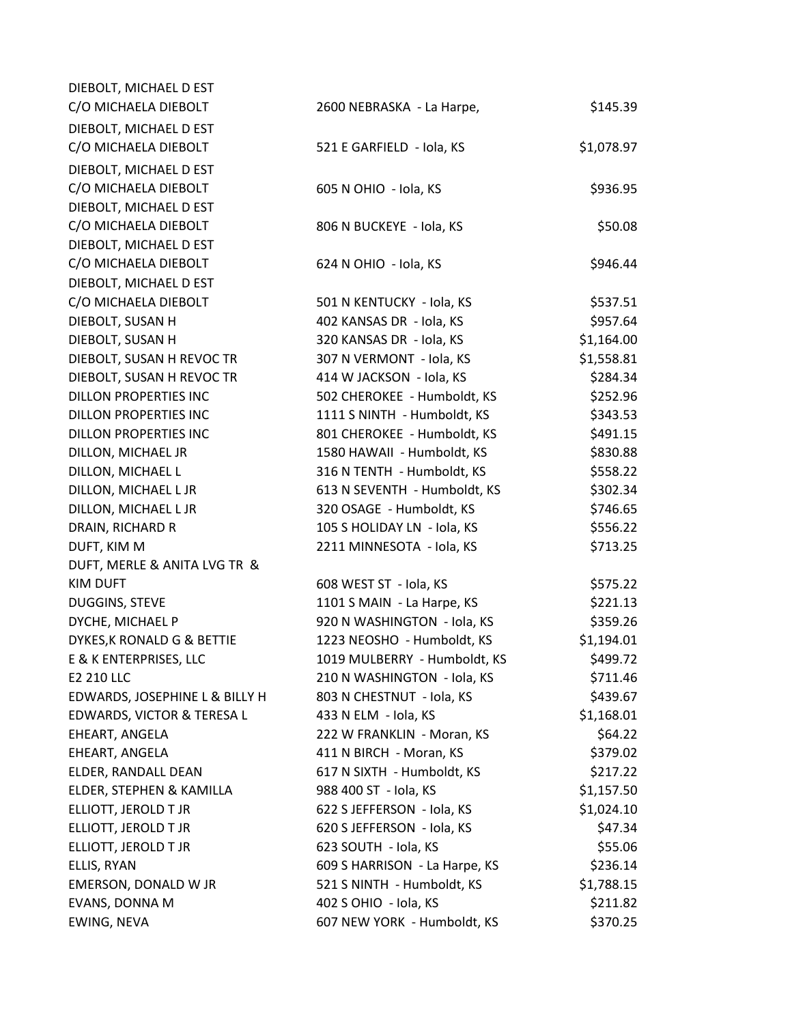| DIEBOLT, MICHAEL D EST         |                               |            |
|--------------------------------|-------------------------------|------------|
| C/O MICHAELA DIEBOLT           | 2600 NEBRASKA - La Harpe,     | \$145.39   |
| DIEBOLT, MICHAEL D EST         |                               |            |
| C/O MICHAELA DIEBOLT           | 521 E GARFIELD - Iola, KS     | \$1,078.97 |
| DIEBOLT, MICHAEL D EST         |                               |            |
| C/O MICHAELA DIEBOLT           | 605 N OHIO - Iola, KS         | \$936.95   |
| DIEBOLT, MICHAEL D EST         |                               |            |
| C/O MICHAELA DIEBOLT           | 806 N BUCKEYE - Iola, KS      | \$50.08    |
| DIEBOLT, MICHAEL D EST         |                               |            |
| C/O MICHAELA DIEBOLT           | 624 N OHIO - Iola, KS         | \$946.44   |
| DIEBOLT, MICHAEL D EST         |                               |            |
| C/O MICHAELA DIEBOLT           | 501 N KENTUCKY - Iola, KS     | \$537.51   |
| DIEBOLT, SUSAN H               | 402 KANSAS DR - Iola, KS      | \$957.64   |
| DIEBOLT, SUSAN H               | 320 KANSAS DR - Iola, KS      | \$1,164.00 |
| DIEBOLT, SUSAN H REVOC TR      | 307 N VERMONT - Iola, KS      | \$1,558.81 |
| DIEBOLT, SUSAN H REVOC TR      | 414 W JACKSON - Iola, KS      | \$284.34   |
| <b>DILLON PROPERTIES INC</b>   | 502 CHEROKEE - Humboldt, KS   | \$252.96   |
| DILLON PROPERTIES INC          | 1111 S NINTH - Humboldt, KS   | \$343.53   |
| DILLON PROPERTIES INC          | 801 CHEROKEE - Humboldt, KS   | \$491.15   |
| DILLON, MICHAEL JR             | 1580 HAWAII - Humboldt, KS    | \$830.88   |
| DILLON, MICHAEL L              | 316 N TENTH - Humboldt, KS    | \$558.22   |
| DILLON, MICHAEL L JR           | 613 N SEVENTH - Humboldt, KS  | \$302.34   |
| DILLON, MICHAEL L JR           | 320 OSAGE - Humboldt, KS      | \$746.65   |
| DRAIN, RICHARD R               | 105 S HOLIDAY LN - Iola, KS   | \$556.22   |
| DUFT, KIM M                    | 2211 MINNESOTA - Iola, KS     | \$713.25   |
| DUFT, MERLE & ANITA LVG TR &   |                               |            |
| <b>KIM DUFT</b>                | 608 WEST ST - Iola, KS        | \$575.22   |
| DUGGINS, STEVE                 | 1101 S MAIN - La Harpe, KS    | \$221.13   |
| DYCHE, MICHAEL P               | 920 N WASHINGTON - Iola, KS   | \$359.26   |
| DYKES, K RONALD G & BETTIE     | 1223 NEOSHO - Humboldt, KS    | \$1,194.01 |
| E & K ENTERPRISES, LLC         | 1019 MULBERRY - Humboldt, KS  | \$499.72   |
| E2 210 LLC                     | 210 N WASHINGTON - Iola, KS   | \$711.46   |
| EDWARDS, JOSEPHINE L & BILLY H | 803 N CHESTNUT - Iola, KS     | \$439.67   |
| EDWARDS, VICTOR & TERESA L     | 433 N ELM - Iola, KS          | \$1,168.01 |
| EHEART, ANGELA                 | 222 W FRANKLIN - Moran, KS    | \$64.22    |
| EHEART, ANGELA                 | 411 N BIRCH - Moran, KS       | \$379.02   |
| ELDER, RANDALL DEAN            | 617 N SIXTH - Humboldt, KS    | \$217.22   |
| ELDER, STEPHEN & KAMILLA       | 988 400 ST - Iola, KS         | \$1,157.50 |
| ELLIOTT, JEROLD T JR           | 622 S JEFFERSON - Iola, KS    | \$1,024.10 |
| ELLIOTT, JEROLD T JR           | 620 S JEFFERSON - Iola, KS    | \$47.34    |
| ELLIOTT, JEROLD T JR           | 623 SOUTH - Iola, KS          | \$55.06    |
| ELLIS, RYAN                    | 609 S HARRISON - La Harpe, KS | \$236.14   |
| EMERSON, DONALD W JR           | 521 S NINTH - Humboldt, KS    | \$1,788.15 |
| EVANS, DONNA M                 | 402 S OHIO - Iola, KS         | \$211.82   |
| EWING, NEVA                    | 607 NEW YORK - Humboldt, KS   | \$370.25   |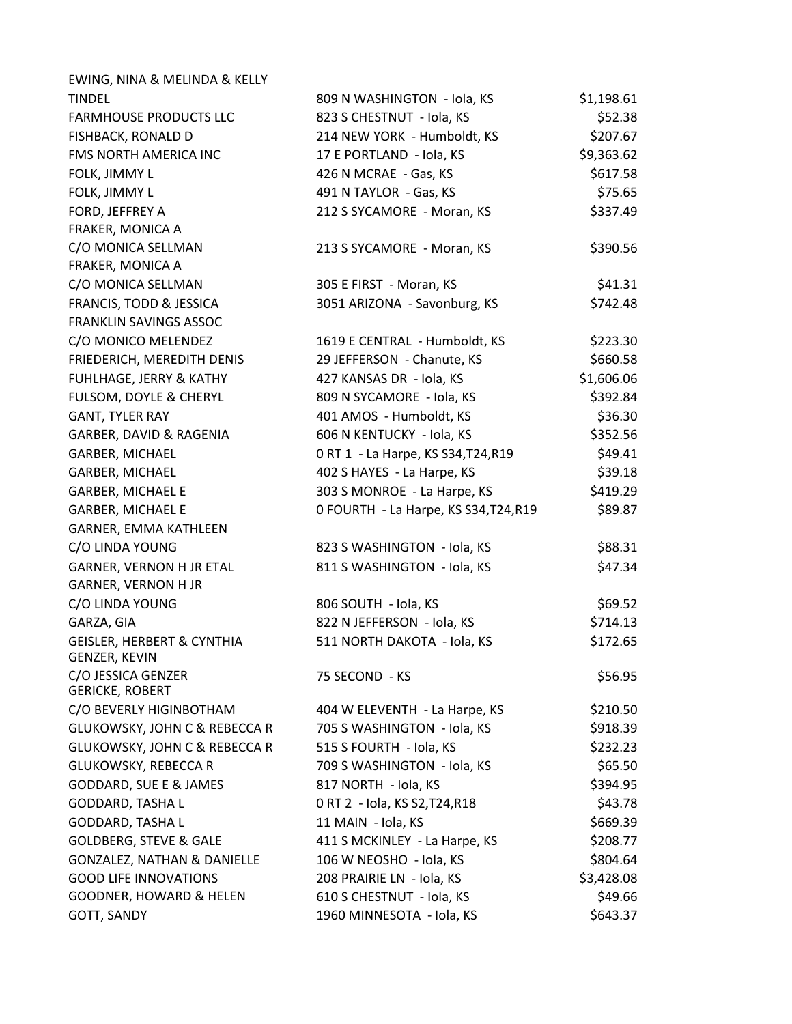| EWING, NINA & MELINDA & KELLY                          |                                       |            |
|--------------------------------------------------------|---------------------------------------|------------|
| <b>TINDEL</b>                                          | 809 N WASHINGTON - Iola, KS           | \$1,198.61 |
| <b>FARMHOUSE PRODUCTS LLC</b>                          | 823 S CHESTNUT - Iola, KS             | \$52.38    |
| FISHBACK, RONALD D                                     | 214 NEW YORK - Humboldt, KS           | \$207.67   |
| FMS NORTH AMERICA INC                                  | 17 E PORTLAND - Iola, KS              | \$9,363.62 |
| FOLK, JIMMY L                                          | 426 N MCRAE - Gas, KS                 | \$617.58   |
| FOLK, JIMMY L                                          | 491 N TAYLOR - Gas, KS                | \$75.65    |
| FORD, JEFFREY A                                        | 212 S SYCAMORE - Moran, KS            | \$337.49   |
| FRAKER, MONICA A                                       |                                       |            |
| C/O MONICA SELLMAN                                     | 213 S SYCAMORE - Moran, KS            | \$390.56   |
| FRAKER, MONICA A                                       |                                       |            |
| C/O MONICA SELLMAN                                     | 305 E FIRST - Moran, KS               | \$41.31    |
| FRANCIS, TODD & JESSICA                                | 3051 ARIZONA - Savonburg, KS          | \$742.48   |
| FRANKLIN SAVINGS ASSOC                                 |                                       |            |
| C/O MONICO MELENDEZ                                    | 1619 E CENTRAL - Humboldt, KS         | \$223.30   |
| FRIEDERICH, MEREDITH DENIS                             | 29 JEFFERSON - Chanute, KS            | \$660.58   |
| FUHLHAGE, JERRY & KATHY                                | 427 KANSAS DR - Iola, KS              | \$1,606.06 |
| FULSOM, DOYLE & CHERYL                                 | 809 N SYCAMORE - Iola, KS             | \$392.84   |
| <b>GANT, TYLER RAY</b>                                 | 401 AMOS - Humboldt, KS               | \$36.30    |
| GARBER, DAVID & RAGENIA                                | 606 N KENTUCKY - Iola, KS             | \$352.56   |
| GARBER, MICHAEL                                        | 0 RT 1 - La Harpe, KS S34, T24, R19   | \$49.41    |
| GARBER, MICHAEL                                        | 402 S HAYES - La Harpe, KS            | \$39.18    |
| <b>GARBER, MICHAEL E</b>                               | 303 S MONROE - La Harpe, KS           | \$419.29   |
| <b>GARBER, MICHAEL E</b>                               | O FOURTH - La Harpe, KS S34, T24, R19 | \$89.87    |
| GARNER, EMMA KATHLEEN                                  |                                       |            |
| C/O LINDA YOUNG                                        | 823 S WASHINGTON - Iola, KS           | \$88.31    |
| GARNER, VERNON H JR ETAL                               | 811 S WASHINGTON - Iola, KS           | \$47.34    |
| <b>GARNER, VERNON H JR</b>                             |                                       |            |
| C/O LINDA YOUNG                                        | 806 SOUTH - Iola, KS                  | \$69.52    |
| GARZA, GIA                                             | 822 N JEFFERSON - Iola, KS            | \$714.13   |
| <b>GEISLER, HERBERT &amp; CYNTHIA</b><br>GENZER, KEVIN | 511 NORTH DAKOTA - Iola, KS           | \$172.65   |
| C/O JESSICA GENZER<br><b>GERICKE, ROBERT</b>           | 75 SECOND - KS                        | \$56.95    |
| C/O BEVERLY HIGINBOTHAM                                | 404 W ELEVENTH - La Harpe, KS         | \$210.50   |
| <b>GLUKOWSKY, JOHN C &amp; REBECCA R</b>               | 705 S WASHINGTON - Iola, KS           | \$918.39   |
| <b>GLUKOWSKY, JOHN C &amp; REBECCA R</b>               | 515 S FOURTH - Iola, KS               | \$232.23   |
| <b>GLUKOWSKY, REBECCA R</b>                            | 709 S WASHINGTON - Iola, KS           | \$65.50    |
| <b>GODDARD, SUE E &amp; JAMES</b>                      | 817 NORTH - Iola, KS                  | \$394.95   |
| GODDARD, TASHA L                                       | 0 RT 2 - Iola, KS S2, T24, R18        | \$43.78    |
| <b>GODDARD, TASHA L</b>                                | 11 MAIN - Iola, KS                    | \$669.39   |
| <b>GOLDBERG, STEVE &amp; GALE</b>                      | 411 S MCKINLEY - La Harpe, KS         | \$208.77   |
| GONZALEZ, NATHAN & DANIELLE                            | 106 W NEOSHO - Iola, KS               | \$804.64   |
| <b>GOOD LIFE INNOVATIONS</b>                           | 208 PRAIRIE LN - Iola, KS             | \$3,428.08 |
| <b>GOODNER, HOWARD &amp; HELEN</b>                     | 610 S CHESTNUT - Iola, KS             | \$49.66    |
| GOTT, SANDY                                            | 1960 MINNESOTA - Iola, KS             | \$643.37   |
|                                                        |                                       |            |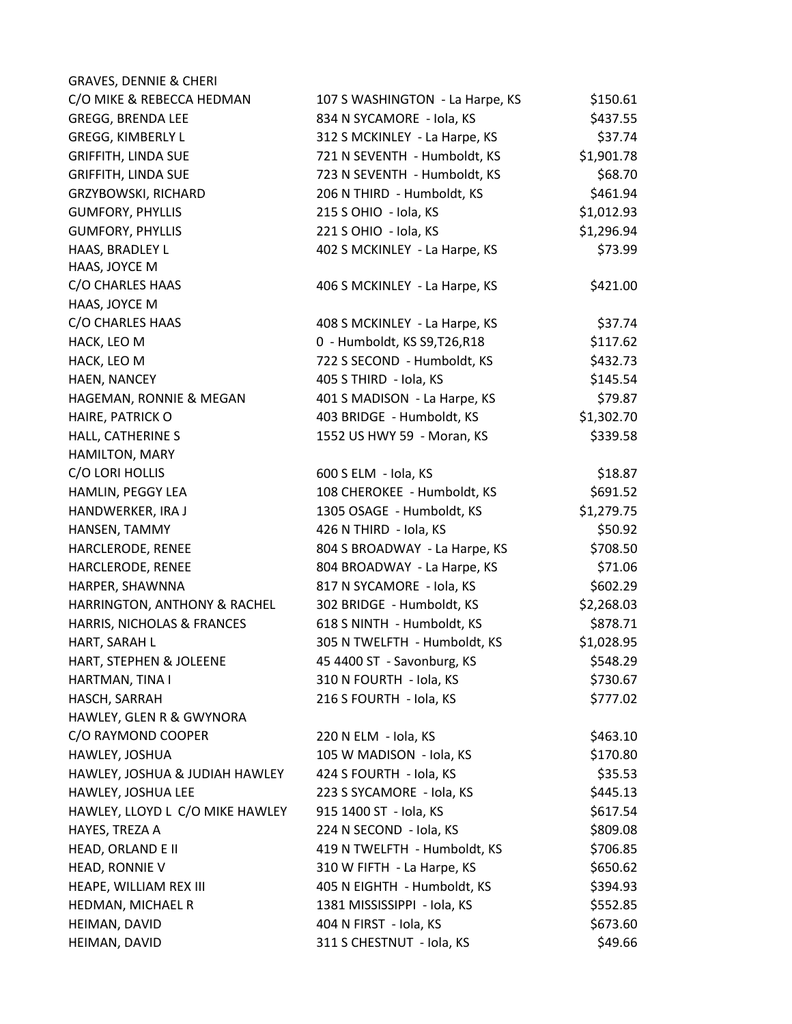| <b>GRAVES, DENNIE &amp; CHERI</b> |                                 |            |
|-----------------------------------|---------------------------------|------------|
| C/O MIKE & REBECCA HEDMAN         | 107 S WASHINGTON - La Harpe, KS | \$150.61   |
| <b>GREGG, BRENDA LEE</b>          | 834 N SYCAMORE - Iola, KS       | \$437.55   |
| <b>GREGG, KIMBERLY L</b>          | 312 S MCKINLEY - La Harpe, KS   | \$37.74    |
| <b>GRIFFITH, LINDA SUE</b>        | 721 N SEVENTH - Humboldt, KS    | \$1,901.78 |
| <b>GRIFFITH, LINDA SUE</b>        | 723 N SEVENTH - Humboldt, KS    | \$68.70    |
| GRZYBOWSKI, RICHARD               | 206 N THIRD - Humboldt, KS      | \$461.94   |
| <b>GUMFORY, PHYLLIS</b>           | 215 S OHIO - Iola, KS           | \$1,012.93 |
| <b>GUMFORY, PHYLLIS</b>           | 221 S OHIO - Iola, KS           | \$1,296.94 |
| HAAS, BRADLEY L                   | 402 S MCKINLEY - La Harpe, KS   | \$73.99    |
| HAAS, JOYCE M                     |                                 |            |
| C/O CHARLES HAAS                  | 406 S MCKINLEY - La Harpe, KS   | \$421.00   |
| HAAS, JOYCE M                     |                                 |            |
| C/O CHARLES HAAS                  | 408 S MCKINLEY - La Harpe, KS   | \$37.74    |
| HACK, LEO M                       | 0 - Humboldt, KS S9, T26, R18   | \$117.62   |
| HACK, LEO M                       | 722 S SECOND - Humboldt, KS     | \$432.73   |
| HAEN, NANCEY                      | 405 S THIRD - Iola, KS          | \$145.54   |
| HAGEMAN, RONNIE & MEGAN           | 401 S MADISON - La Harpe, KS    | \$79.87    |
| HAIRE, PATRICK O                  | 403 BRIDGE - Humboldt, KS       | \$1,302.70 |
| HALL, CATHERINE S                 | 1552 US HWY 59 - Moran, KS      | \$339.58   |
| HAMILTON, MARY                    |                                 |            |
| C/O LORI HOLLIS                   | 600 S ELM - Iola, KS            | \$18.87    |
| HAMLIN, PEGGY LEA                 | 108 CHEROKEE - Humboldt, KS     | \$691.52   |
| HANDWERKER, IRA J                 | 1305 OSAGE - Humboldt, KS       | \$1,279.75 |
| HANSEN, TAMMY                     | 426 N THIRD - Iola, KS          | \$50.92    |
| HARCLERODE, RENEE                 | 804 S BROADWAY - La Harpe, KS   | \$708.50   |
| HARCLERODE, RENEE                 | 804 BROADWAY - La Harpe, KS     | \$71.06    |
| HARPER, SHAWNNA                   | 817 N SYCAMORE - Iola, KS       | \$602.29   |
| HARRINGTON, ANTHONY & RACHEL      | 302 BRIDGE - Humboldt, KS       | \$2,268.03 |
| HARRIS, NICHOLAS & FRANCES        | 618 S NINTH - Humboldt, KS      | \$878.71   |
| HART, SARAH L                     | 305 N TWELFTH - Humboldt, KS    | \$1,028.95 |
| HART, STEPHEN & JOLEENE           | 45 4400 ST - Savonburg, KS      | \$548.29   |
| HARTMAN, TINA I                   | 310 N FOURTH - Iola, KS         | \$730.67   |
| HASCH, SARRAH                     | 216 S FOURTH - Iola, KS         | \$777.02   |
| HAWLEY, GLEN R & GWYNORA          |                                 |            |
| C/O RAYMOND COOPER                | 220 N ELM - Iola, KS            | \$463.10   |
| HAWLEY, JOSHUA                    | 105 W MADISON - Iola, KS        | \$170.80   |
| HAWLEY, JOSHUA & JUDIAH HAWLEY    | 424 S FOURTH - Iola, KS         | \$35.53    |
| HAWLEY, JOSHUA LEE                | 223 S SYCAMORE - Iola, KS       | \$445.13   |
| HAWLEY, LLOYD L C/O MIKE HAWLEY   | 915 1400 ST - Iola, KS          | \$617.54   |
| HAYES, TREZA A                    | 224 N SECOND - Iola, KS         | \$809.08   |
| HEAD, ORLAND E II                 | 419 N TWELFTH - Humboldt, KS    | \$706.85   |
| HEAD, RONNIE V                    | 310 W FIFTH - La Harpe, KS      | \$650.62   |
| HEAPE, WILLIAM REX III            | 405 N EIGHTH - Humboldt, KS     | \$394.93   |
| HEDMAN, MICHAEL R                 | 1381 MISSISSIPPI - Iola, KS     | \$552.85   |
| HEIMAN, DAVID                     | 404 N FIRST - Iola, KS          | \$673.60   |
| HEIMAN, DAVID                     | 311 S CHESTNUT - Iola, KS       | \$49.66    |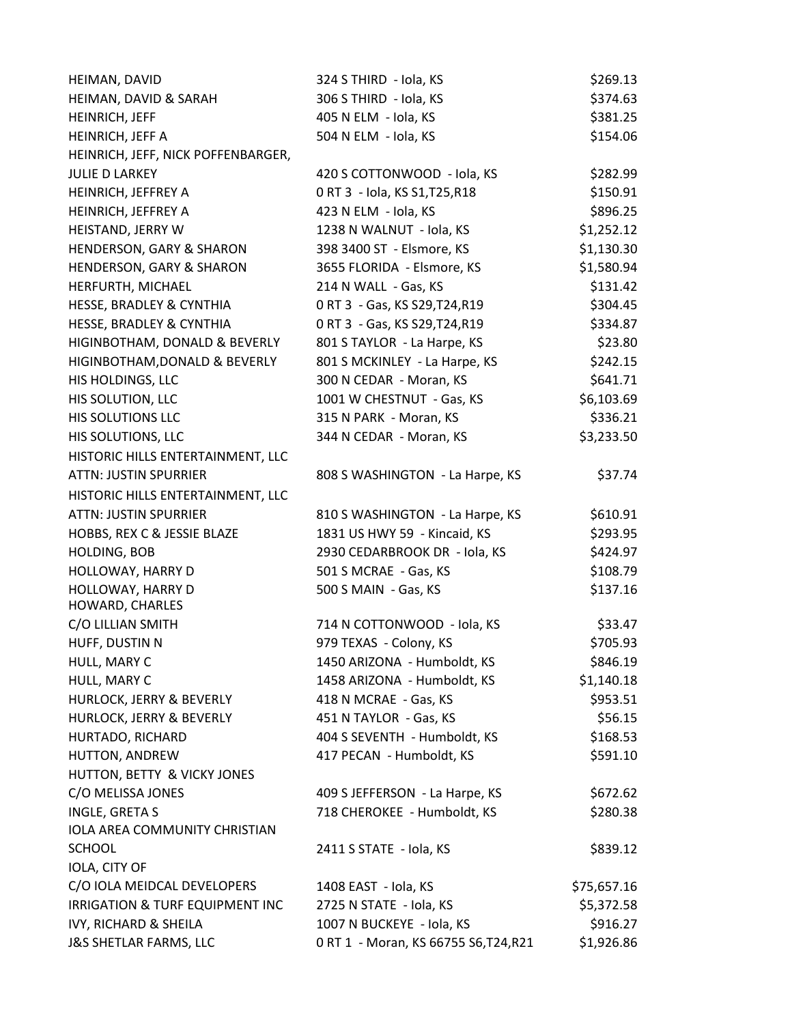| HEIMAN, DAVID                        | 324 S THIRD - Iola, KS                | \$269.13    |
|--------------------------------------|---------------------------------------|-------------|
| HEIMAN, DAVID & SARAH                | 306 S THIRD - Iola, KS                | \$374.63    |
| HEINRICH, JEFF                       | 405 N ELM - Iola, KS                  | \$381.25    |
| HEINRICH, JEFF A                     | 504 N ELM - Iola, KS                  | \$154.06    |
| HEINRICH, JEFF, NICK POFFENBARGER,   |                                       |             |
| <b>JULIE D LARKEY</b>                | 420 S COTTONWOOD - Iola, KS           | \$282.99    |
| HEINRICH, JEFFREY A                  | 0 RT 3 - Iola, KS S1, T25, R18        | \$150.91    |
| HEINRICH, JEFFREY A                  | 423 N ELM - Iola, KS                  | \$896.25    |
| HEISTAND, JERRY W                    | 1238 N WALNUT - Iola, KS              | \$1,252.12  |
| HENDERSON, GARY & SHARON             | 398 3400 ST - Elsmore, KS             | \$1,130.30  |
| <b>HENDERSON, GARY &amp; SHARON</b>  | 3655 FLORIDA - Elsmore, KS            | \$1,580.94  |
| HERFURTH, MICHAEL                    | 214 N WALL - Gas, KS                  | \$131.42    |
| HESSE, BRADLEY & CYNTHIA             | 0 RT 3 - Gas, KS S29, T24, R19        | \$304.45    |
| HESSE, BRADLEY & CYNTHIA             | 0 RT 3 - Gas, KS S29, T24, R19        | \$334.87    |
| HIGINBOTHAM, DONALD & BEVERLY        | 801 S TAYLOR - La Harpe, KS           | \$23.80     |
| HIGINBOTHAM, DONALD & BEVERLY        | 801 S MCKINLEY - La Harpe, KS         | \$242.15    |
| HIS HOLDINGS, LLC                    | 300 N CEDAR - Moran, KS               | \$641.71    |
| HIS SOLUTION, LLC                    | 1001 W CHESTNUT - Gas, KS             | \$6,103.69  |
| HIS SOLUTIONS LLC                    | 315 N PARK - Moran, KS                | \$336.21    |
| HIS SOLUTIONS, LLC                   | 344 N CEDAR - Moran, KS               | \$3,233.50  |
| HISTORIC HILLS ENTERTAINMENT, LLC    |                                       |             |
| <b>ATTN: JUSTIN SPURRIER</b>         | 808 S WASHINGTON - La Harpe, KS       | \$37.74     |
| HISTORIC HILLS ENTERTAINMENT, LLC    |                                       |             |
| <b>ATTN: JUSTIN SPURRIER</b>         | 810 S WASHINGTON - La Harpe, KS       | \$610.91    |
| HOBBS, REX C & JESSIE BLAZE          | 1831 US HWY 59 - Kincaid, KS          | \$293.95    |
| HOLDING, BOB                         | 2930 CEDARBROOK DR - Iola, KS         | \$424.97    |
| HOLLOWAY, HARRY D                    | 501 S MCRAE - Gas, KS                 | \$108.79    |
| HOLLOWAY, HARRY D<br>HOWARD, CHARLES | 500 S MAIN - Gas, KS                  | \$137.16    |
| C/O LILLIAN SMITH                    | 714 N COTTONWOOD - Iola, KS           | \$33.47     |
| HUFF, DUSTIN N                       | 979 TEXAS - Colony, KS                | \$705.93    |
| HULL, MARY C                         | 1450 ARIZONA - Humboldt, KS           | \$846.19    |
| HULL, MARY C                         | 1458 ARIZONA - Humboldt, KS           | \$1,140.18  |
| HURLOCK, JERRY & BEVERLY             | 418 N MCRAE - Gas, KS                 | \$953.51    |
| HURLOCK, JERRY & BEVERLY             | 451 N TAYLOR - Gas, KS                | \$56.15     |
| HURTADO, RICHARD                     | 404 S SEVENTH - Humboldt, KS          | \$168.53    |
| HUTTON, ANDREW                       | 417 PECAN - Humboldt, KS              | \$591.10    |
| HUTTON, BETTY & VICKY JONES          |                                       |             |
| C/O MELISSA JONES                    | 409 S JEFFERSON - La Harpe, KS        | \$672.62    |
| INGLE, GRETA S                       | 718 CHEROKEE - Humboldt, KS           | \$280.38    |
| IOLA AREA COMMUNITY CHRISTIAN        |                                       |             |
| <b>SCHOOL</b>                        | 2411 S STATE - Iola, KS               | \$839.12    |
| IOLA, CITY OF                        |                                       |             |
| C/O IOLA MEIDCAL DEVELOPERS          | 1408 EAST - Iola, KS                  | \$75,657.16 |
| IRRIGATION & TURF EQUIPMENT INC      | 2725 N STATE - Iola, KS               | \$5,372.58  |
| IVY, RICHARD & SHEILA                | 1007 N BUCKEYE - Iola, KS             | \$916.27    |
| <b>J&amp;S SHETLAR FARMS, LLC</b>    | 0 RT 1 - Moran, KS 66755 S6, T24, R21 | \$1,926.86  |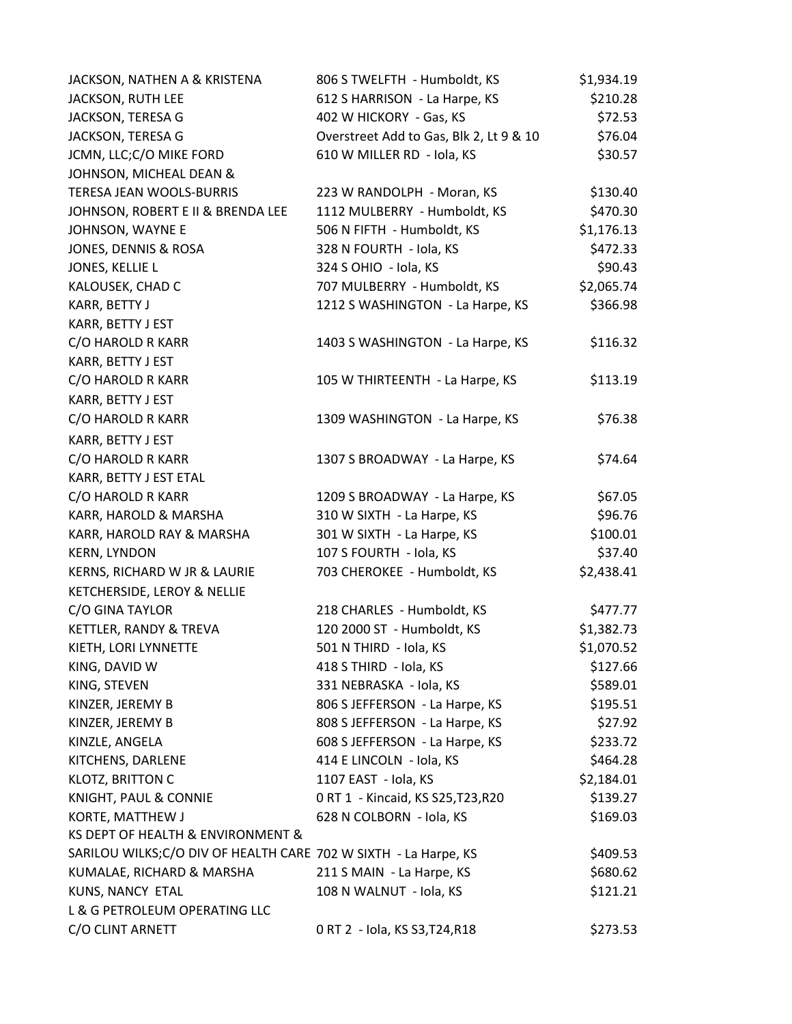| JACKSON, NATHEN A & KRISTENA                                     | 806 S TWELFTH - Humboldt, KS            | \$1,934.19 |
|------------------------------------------------------------------|-----------------------------------------|------------|
| JACKSON, RUTH LEE                                                | 612 S HARRISON - La Harpe, KS           | \$210.28   |
| JACKSON, TERESA G                                                | 402 W HICKORY - Gas, KS                 | \$72.53    |
| JACKSON, TERESA G                                                | Overstreet Add to Gas, Blk 2, Lt 9 & 10 | \$76.04    |
| JCMN, LLC;C/O MIKE FORD                                          | 610 W MILLER RD - Iola, KS              | \$30.57    |
| JOHNSON, MICHEAL DEAN &                                          |                                         |            |
| TERESA JEAN WOOLS-BURRIS                                         | 223 W RANDOLPH - Moran, KS              | \$130.40   |
| JOHNSON, ROBERT E II & BRENDA LEE                                | 1112 MULBERRY - Humboldt, KS            | \$470.30   |
| JOHNSON, WAYNE E                                                 | 506 N FIFTH - Humboldt, KS              | \$1,176.13 |
| JONES, DENNIS & ROSA                                             | 328 N FOURTH - Iola, KS                 | \$472.33   |
| JONES, KELLIE L                                                  | 324 S OHIO - Iola, KS                   | \$90.43    |
| KALOUSEK, CHAD C                                                 | 707 MULBERRY - Humboldt, KS             | \$2,065.74 |
| KARR, BETTY J                                                    | 1212 S WASHINGTON - La Harpe, KS        | \$366.98   |
| KARR, BETTY J EST                                                |                                         |            |
| C/O HAROLD R KARR                                                | 1403 S WASHINGTON - La Harpe, KS        | \$116.32   |
| KARR, BETTY J EST                                                |                                         |            |
| C/O HAROLD R KARR                                                | 105 W THIRTEENTH - La Harpe, KS         | \$113.19   |
| KARR, BETTY J EST                                                |                                         |            |
| C/O HAROLD R KARR                                                | 1309 WASHINGTON - La Harpe, KS          | \$76.38    |
| KARR, BETTY J EST                                                |                                         |            |
| C/O HAROLD R KARR                                                | 1307 S BROADWAY - La Harpe, KS          | \$74.64    |
| KARR, BETTY J EST ETAL                                           |                                         |            |
| C/O HAROLD R KARR                                                | 1209 S BROADWAY - La Harpe, KS          | \$67.05    |
| KARR, HAROLD & MARSHA                                            | 310 W SIXTH - La Harpe, KS              | \$96.76    |
| KARR, HAROLD RAY & MARSHA                                        | 301 W SIXTH - La Harpe, KS              | \$100.01   |
| <b>KERN, LYNDON</b>                                              | 107 S FOURTH - Iola, KS                 | \$37.40    |
| KERNS, RICHARD W JR & LAURIE                                     | 703 CHEROKEE - Humboldt, KS             | \$2,438.41 |
| KETCHERSIDE, LEROY & NELLIE                                      |                                         |            |
| C/O GINA TAYLOR                                                  | 218 CHARLES - Humboldt, KS              | \$477.77   |
| KETTLER, RANDY & TREVA                                           | 120 2000 ST - Humboldt, KS              | \$1,382.73 |
| KIETH, LORI LYNNETTE                                             | 501 N THIRD - Iola, KS                  | \$1,070.52 |
| KING, DAVID W                                                    | 418 S THIRD - Iola, KS                  | \$127.66   |
| KING, STEVEN                                                     | 331 NEBRASKA - Iola, KS                 | \$589.01   |
| KINZER, JEREMY B                                                 | 806 S JEFFERSON - La Harpe, KS          | \$195.51   |
| KINZER, JEREMY B                                                 | 808 S JEFFERSON - La Harpe, KS          | \$27.92    |
| KINZLE, ANGELA                                                   | 608 S JEFFERSON - La Harpe, KS          | \$233.72   |
| KITCHENS, DARLENE                                                | 414 E LINCOLN - Iola, KS                | \$464.28   |
| KLOTZ, BRITTON C                                                 | 1107 EAST - Iola, KS                    | \$2,184.01 |
| KNIGHT, PAUL & CONNIE                                            | 0 RT 1 - Kincaid, KS S25, T23, R20      | \$139.27   |
| KORTE, MATTHEW J                                                 | 628 N COLBORN - Iola, KS                | \$169.03   |
| KS DEPT OF HEALTH & ENVIRONMENT &                                |                                         |            |
| SARILOU WILKS; C/O DIV OF HEALTH CARE 702 W SIXTH - La Harpe, KS |                                         | \$409.53   |
| KUMALAE, RICHARD & MARSHA                                        | 211 S MAIN - La Harpe, KS               | \$680.62   |
| KUNS, NANCY ETAL                                                 | 108 N WALNUT - Iola, KS                 | \$121.21   |
| L & G PETROLEUM OPERATING LLC                                    |                                         |            |
| C/O CLINT ARNETT                                                 | 0 RT 2 - Iola, KS S3, T24, R18          | \$273.53   |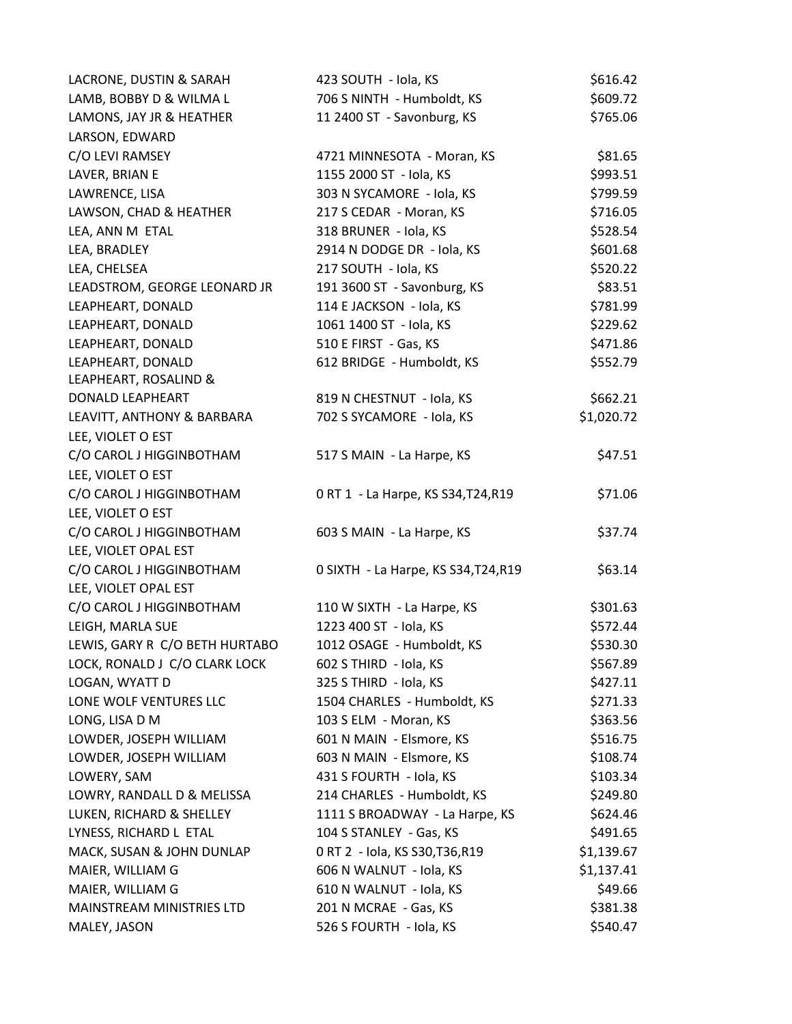| LACRONE, DUSTIN & SARAH        | 423 SOUTH - Iola, KS                 | \$616.42   |
|--------------------------------|--------------------------------------|------------|
| LAMB, BOBBY D & WILMA L        | 706 S NINTH - Humboldt, KS           | \$609.72   |
| LAMONS, JAY JR & HEATHER       | 11 2400 ST - Savonburg, KS           | \$765.06   |
| LARSON, EDWARD                 |                                      |            |
| C/O LEVI RAMSEY                | 4721 MINNESOTA - Moran, KS           | \$81.65    |
| LAVER, BRIAN E                 | 1155 2000 ST - Iola, KS              | \$993.51   |
| LAWRENCE, LISA                 | 303 N SYCAMORE - Iola, KS            | \$799.59   |
| LAWSON, CHAD & HEATHER         | 217 S CEDAR - Moran, KS              | \$716.05   |
| LEA, ANN M ETAL                | 318 BRUNER - Iola, KS                | \$528.54   |
| LEA, BRADLEY                   | 2914 N DODGE DR - Iola, KS           | \$601.68   |
| LEA, CHELSEA                   | 217 SOUTH - Iola, KS                 | \$520.22   |
| LEADSTROM, GEORGE LEONARD JR   | 191 3600 ST - Savonburg, KS          | \$83.51    |
| LEAPHEART, DONALD              | 114 E JACKSON - Iola, KS             | \$781.99   |
| LEAPHEART, DONALD              | 1061 1400 ST - Iola, KS              | \$229.62   |
| LEAPHEART, DONALD              | 510 E FIRST - Gas, KS                | \$471.86   |
| LEAPHEART, DONALD              | 612 BRIDGE - Humboldt, KS            | \$552.79   |
| LEAPHEART, ROSALIND &          |                                      |            |
| DONALD LEAPHEART               | 819 N CHESTNUT - Iola, KS            | \$662.21   |
| LEAVITT, ANTHONY & BARBARA     | 702 S SYCAMORE - Iola, KS            | \$1,020.72 |
| LEE, VIOLET O EST              |                                      |            |
| C/O CAROL J HIGGINBOTHAM       | 517 S MAIN - La Harpe, KS            | \$47.51    |
| LEE, VIOLET O EST              |                                      |            |
| C/O CAROL J HIGGINBOTHAM       | 0 RT 1 - La Harpe, KS S34, T24, R19  | \$71.06    |
| LEE, VIOLET O EST              |                                      |            |
| C/O CAROL J HIGGINBOTHAM       | 603 S MAIN - La Harpe, KS            | \$37.74    |
| LEE, VIOLET OPAL EST           |                                      |            |
| C/O CAROL J HIGGINBOTHAM       | 0 SIXTH - La Harpe, KS S34, T24, R19 | \$63.14    |
| LEE, VIOLET OPAL EST           |                                      |            |
| C/O CAROL J HIGGINBOTHAM       | 110 W SIXTH - La Harpe, KS           | \$301.63   |
| LEIGH, MARLA SUE               | 1223 400 ST - Iola, KS               | \$572.44   |
| LEWIS, GARY R C/O BETH HURTABO | 1012 OSAGE - Humboldt, KS            | \$530.30   |
| LOCK, RONALD J C/O CLARK LOCK  | 602 S THIRD - Iola, KS               | \$567.89   |
| LOGAN, WYATT D                 | 325 S THIRD - Iola, KS               | \$427.11   |
| LONE WOLF VENTURES LLC         | 1504 CHARLES - Humboldt, KS          | \$271.33   |
| LONG, LISA D M                 | 103 S ELM - Moran, KS                | \$363.56   |
| LOWDER, JOSEPH WILLIAM         | 601 N MAIN - Elsmore, KS             | \$516.75   |
| LOWDER, JOSEPH WILLIAM         | 603 N MAIN - Elsmore, KS             | \$108.74   |
| LOWERY, SAM                    | 431 S FOURTH - Iola, KS              | \$103.34   |
| LOWRY, RANDALL D & MELISSA     | 214 CHARLES - Humboldt, KS           | \$249.80   |
| LUKEN, RICHARD & SHELLEY       | 1111 S BROADWAY - La Harpe, KS       | \$624.46   |
| LYNESS, RICHARD L ETAL         | 104 S STANLEY - Gas, KS              | \$491.65   |
| MACK, SUSAN & JOHN DUNLAP      | 0 RT 2 - Iola, KS S30, T36, R19      | \$1,139.67 |
| MAIER, WILLIAM G               | 606 N WALNUT - Iola, KS              | \$1,137.41 |
| MAIER, WILLIAM G               | 610 N WALNUT - Iola, KS              | \$49.66    |
| MAINSTREAM MINISTRIES LTD      | 201 N MCRAE - Gas, KS                | \$381.38   |
| MALEY, JASON                   | 526 S FOURTH - Iola, KS              | \$540.47   |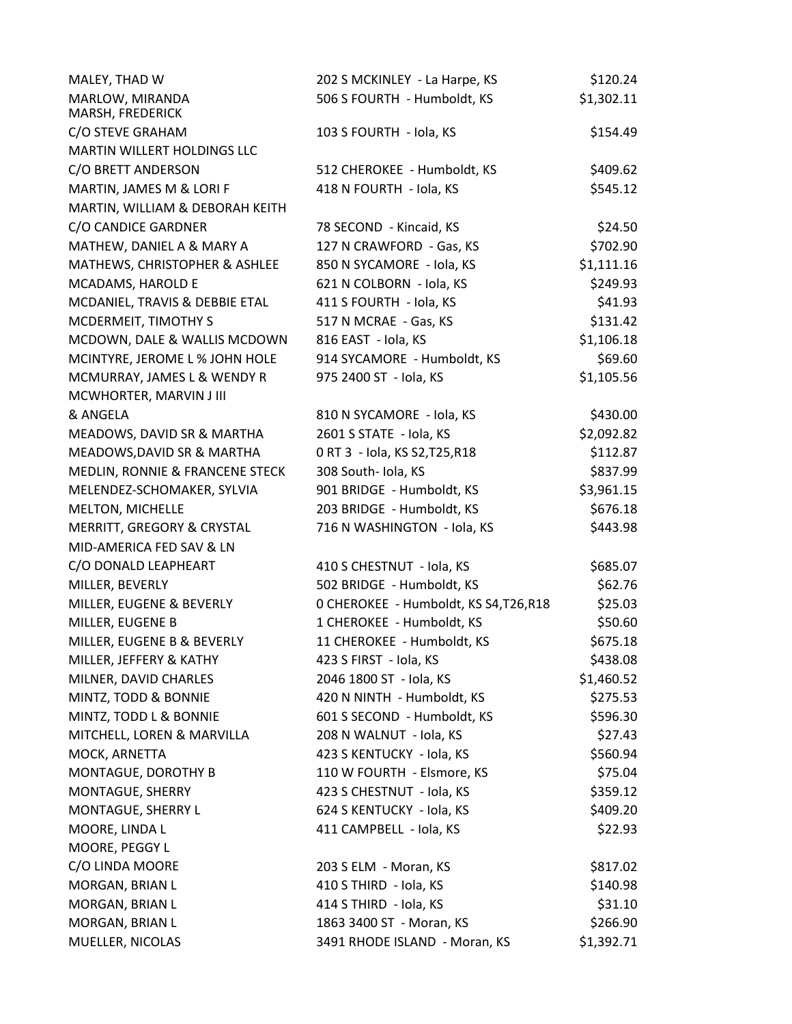| MALEY, THAD W                       | 202 S MCKINLEY - La Harpe, KS          | \$120.24   |
|-------------------------------------|----------------------------------------|------------|
| MARLOW, MIRANDA<br>MARSH, FREDERICK | 506 S FOURTH - Humboldt, KS            | \$1,302.11 |
| C/O STEVE GRAHAM                    | 103 S FOURTH - Iola, KS                | \$154.49   |
| MARTIN WILLERT HOLDINGS LLC         |                                        |            |
| C/O BRETT ANDERSON                  | 512 CHEROKEE - Humboldt, KS            | \$409.62   |
| MARTIN, JAMES M & LORI F            | 418 N FOURTH - Iola, KS                | \$545.12   |
| MARTIN, WILLIAM & DEBORAH KEITH     |                                        |            |
| C/O CANDICE GARDNER                 | 78 SECOND - Kincaid, KS                | \$24.50    |
| MATHEW, DANIEL A & MARY A           | 127 N CRAWFORD - Gas, KS               | \$702.90   |
| MATHEWS, CHRISTOPHER & ASHLEE       | 850 N SYCAMORE - Iola, KS              | \$1,111.16 |
| MCADAMS, HAROLD E                   | 621 N COLBORN - Iola, KS               | \$249.93   |
| MCDANIEL, TRAVIS & DEBBIE ETAL      | 411 S FOURTH - Iola, KS                | \$41.93    |
| MCDERMEIT, TIMOTHY S                | 517 N MCRAE - Gas, KS                  | \$131.42   |
| MCDOWN, DALE & WALLIS MCDOWN        | 816 EAST - Iola, KS                    | \$1,106.18 |
| MCINTYRE, JEROME L % JOHN HOLE      | 914 SYCAMORE - Humboldt, KS            | \$69.60    |
| MCMURRAY, JAMES L & WENDY R         | 975 2400 ST - Iola, KS                 | \$1,105.56 |
| MCWHORTER, MARVIN J III             |                                        |            |
| & ANGELA                            | 810 N SYCAMORE - Iola, KS              | \$430.00   |
| MEADOWS, DAVID SR & MARTHA          | 2601 S STATE - Iola, KS                | \$2,092.82 |
| MEADOWS, DAVID SR & MARTHA          | 0 RT 3 - Iola, KS S2, T25, R18         | \$112.87   |
| MEDLIN, RONNIE & FRANCENE STECK     | 308 South- Iola, KS                    | \$837.99   |
| MELENDEZ-SCHOMAKER, SYLVIA          | 901 BRIDGE - Humboldt, KS              | \$3,961.15 |
| MELTON, MICHELLE                    | 203 BRIDGE - Humboldt, KS              | \$676.18   |
| MERRITT, GREGORY & CRYSTAL          | 716 N WASHINGTON - Iola, KS            | \$443.98   |
| MID-AMERICA FED SAV & LN            |                                        |            |
| C/O DONALD LEAPHEART                | 410 S CHESTNUT - Iola, KS              | \$685.07   |
| MILLER, BEVERLY                     | 502 BRIDGE - Humboldt, KS              | \$62.76    |
| MILLER, EUGENE & BEVERLY            | 0 CHEROKEE - Humboldt, KS S4, T26, R18 | \$25.03    |
| MILLER, EUGENE B                    | 1 CHEROKEE - Humboldt, KS              | \$50.60    |
| MILLER, EUGENE B & BEVERLY          | 11 CHEROKEE - Humboldt, KS             | \$675.18   |
| MILLER, JEFFERY & KATHY             | 423 S FIRST - Iola, KS                 | \$438.08   |
| MILNER, DAVID CHARLES               | 2046 1800 ST - Iola, KS                | \$1,460.52 |
| MINTZ, TODD & BONNIE                | 420 N NINTH - Humboldt, KS             | \$275.53   |
| MINTZ, TODD L & BONNIE              | 601 S SECOND - Humboldt, KS            | \$596.30   |
| MITCHELL, LOREN & MARVILLA          | 208 N WALNUT - Iola, KS                | \$27.43    |
| MOCK, ARNETTA                       | 423 S KENTUCKY - Iola, KS              | \$560.94   |
| MONTAGUE, DOROTHY B                 | 110 W FOURTH - Elsmore, KS             | \$75.04    |
| MONTAGUE, SHERRY                    | 423 S CHESTNUT - Iola, KS              | \$359.12   |
| MONTAGUE, SHERRY L                  | 624 S KENTUCKY - Iola, KS              | \$409.20   |
| MOORE, LINDA L                      | 411 CAMPBELL - Iola, KS                | \$22.93    |
| MOORE, PEGGY L                      |                                        |            |
| C/O LINDA MOORE                     | 203 S ELM - Moran, KS                  | \$817.02   |
| MORGAN, BRIAN L                     | 410 S THIRD - Iola, KS                 | \$140.98   |
| MORGAN, BRIAN L                     | 414 S THIRD - Iola, KS                 | \$31.10    |
| MORGAN, BRIAN L                     | 1863 3400 ST - Moran, KS               | \$266.90   |
| MUELLER, NICOLAS                    | 3491 RHODE ISLAND - Moran, KS          | \$1,392.71 |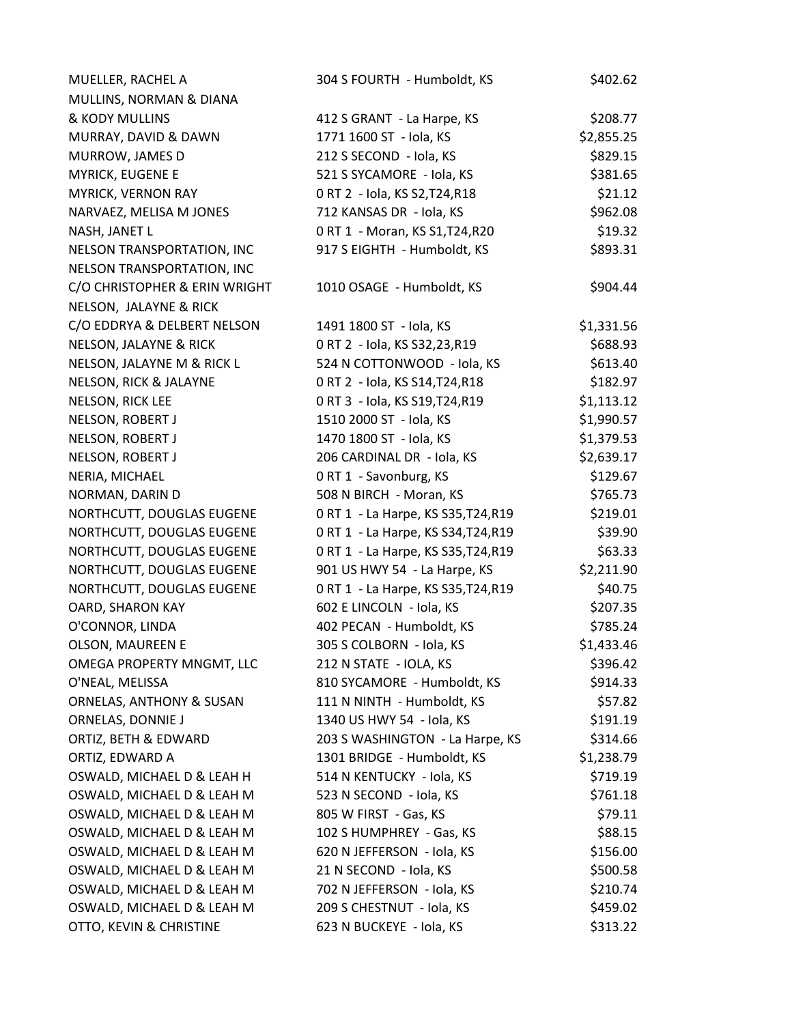| MUELLER, RACHEL A                   | 304 S FOURTH - Humboldt, KS         | \$402.62   |
|-------------------------------------|-------------------------------------|------------|
| MULLINS, NORMAN & DIANA             |                                     |            |
| & KODY MULLINS                      | 412 S GRANT - La Harpe, KS          | \$208.77   |
| MURRAY, DAVID & DAWN                | 1771 1600 ST - Iola, KS             | \$2,855.25 |
| MURROW, JAMES D                     | 212 S SECOND - Iola, KS             | \$829.15   |
| <b>MYRICK, EUGENE E</b>             | 521 S SYCAMORE - Iola, KS           | \$381.65   |
| MYRICK, VERNON RAY                  | 0 RT 2 - Iola, KS S2, T24, R18      | \$21.12    |
| NARVAEZ, MELISA M JONES             | 712 KANSAS DR - Iola, KS            | \$962.08   |
| NASH, JANET L                       | 0 RT 1 - Moran, KS S1, T24, R20     | \$19.32    |
| NELSON TRANSPORTATION, INC          | 917 S EIGHTH - Humboldt, KS         | \$893.31   |
| NELSON TRANSPORTATION, INC          |                                     |            |
| C/O CHRISTOPHER & ERIN WRIGHT       | 1010 OSAGE - Humboldt, KS           | \$904.44   |
| NELSON, JALAYNE & RICK              |                                     |            |
| C/O EDDRYA & DELBERT NELSON         | 1491 1800 ST - Iola, KS             | \$1,331.56 |
| NELSON, JALAYNE & RICK              | 0 RT 2 - Iola, KS S32,23,R19        | \$688.93   |
| NELSON, JALAYNE M & RICK L          | 524 N COTTONWOOD - Iola, KS         | \$613.40   |
| NELSON, RICK & JALAYNE              | 0 RT 2 - Iola, KS S14, T24, R18     | \$182.97   |
| NELSON, RICK LEE                    | 0 RT 3 - Iola, KS S19, T24, R19     | \$1,113.12 |
| NELSON, ROBERT J                    | 1510 2000 ST - Iola, KS             | \$1,990.57 |
| NELSON, ROBERT J                    | 1470 1800 ST - Iola, KS             | \$1,379.53 |
| NELSON, ROBERT J                    | 206 CARDINAL DR - Iola, KS          | \$2,639.17 |
| NERIA, MICHAEL                      | 0 RT 1 - Savonburg, KS              | \$129.67   |
| NORMAN, DARIN D                     | 508 N BIRCH - Moran, KS             | \$765.73   |
| NORTHCUTT, DOUGLAS EUGENE           | 0 RT 1 - La Harpe, KS S35, T24, R19 | \$219.01   |
| NORTHCUTT, DOUGLAS EUGENE           | 0 RT 1 - La Harpe, KS S34, T24, R19 | \$39.90    |
| NORTHCUTT, DOUGLAS EUGENE           | 0 RT 1 - La Harpe, KS S35, T24, R19 | \$63.33    |
| NORTHCUTT, DOUGLAS EUGENE           | 901 US HWY 54 - La Harpe, KS        | \$2,211.90 |
| NORTHCUTT, DOUGLAS EUGENE           | 0 RT 1 - La Harpe, KS S35, T24, R19 | \$40.75    |
| OARD, SHARON KAY                    | 602 E LINCOLN - Iola, KS            | \$207.35   |
| O'CONNOR, LINDA                     | 402 PECAN - Humboldt, KS            | \$785.24   |
| <b>OLSON, MAUREEN E</b>             | 305 S COLBORN - Iola, KS            | \$1,433.46 |
| OMEGA PROPERTY MNGMT, LLC           | 212 N STATE - IOLA, KS              | \$396.42   |
| O'NEAL, MELISSA                     | 810 SYCAMORE - Humboldt, KS         | \$914.33   |
| <b>ORNELAS, ANTHONY &amp; SUSAN</b> | 111 N NINTH - Humboldt, KS          | \$57.82    |
| ORNELAS, DONNIE J                   | 1340 US HWY 54 - Iola, KS           | \$191.19   |
| ORTIZ, BETH & EDWARD                | 203 S WASHINGTON - La Harpe, KS     | \$314.66   |
| ORTIZ, EDWARD A                     | 1301 BRIDGE - Humboldt, KS          | \$1,238.79 |
| OSWALD, MICHAEL D & LEAH H          | 514 N KENTUCKY - Iola, KS           | \$719.19   |
| OSWALD, MICHAEL D & LEAH M          | 523 N SECOND - Iola, KS             | \$761.18   |
| OSWALD, MICHAEL D & LEAH M          | 805 W FIRST - Gas, KS               | \$79.11    |
| OSWALD, MICHAEL D & LEAH M          | 102 S HUMPHREY - Gas, KS            | \$88.15    |
| OSWALD, MICHAEL D & LEAH M          | 620 N JEFFERSON - Iola, KS          | \$156.00   |
| OSWALD, MICHAEL D & LEAH M          | 21 N SECOND - Iola, KS              | \$500.58   |
| OSWALD, MICHAEL D & LEAH M          | 702 N JEFFERSON - Iola, KS          | \$210.74   |
| OSWALD, MICHAEL D & LEAH M          | 209 S CHESTNUT - Iola, KS           | \$459.02   |
| OTTO, KEVIN & CHRISTINE             | 623 N BUCKEYE - Iola, KS            | \$313.22   |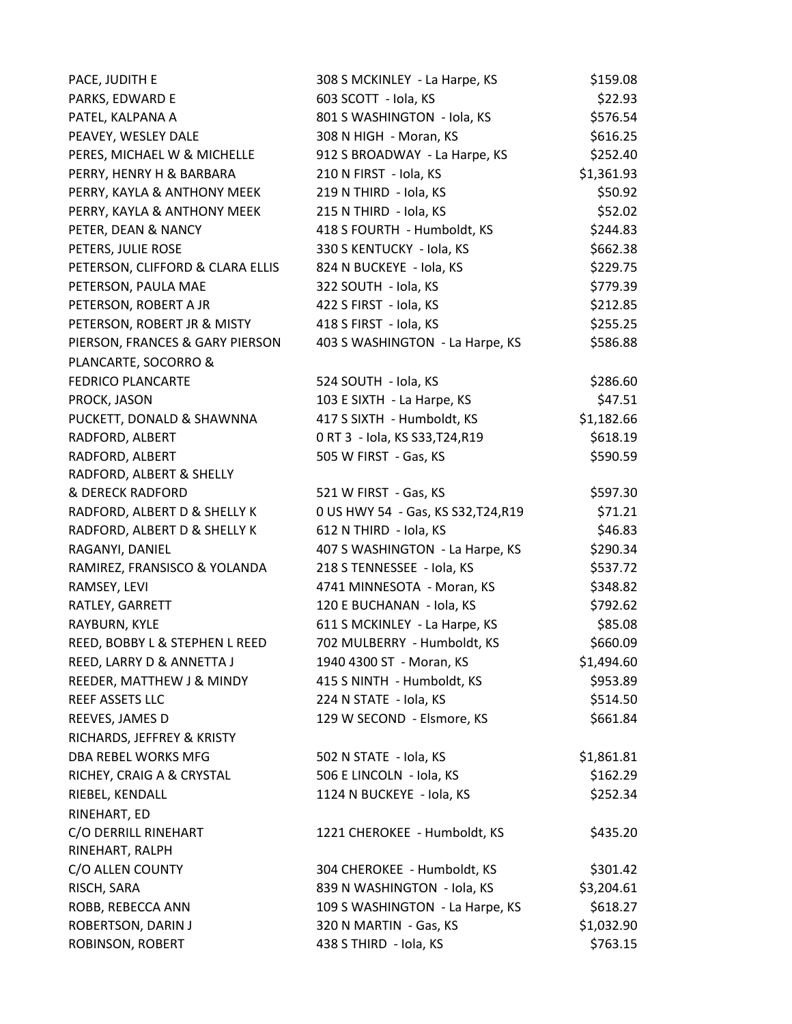| PACE, JUDITH E                          | 308 S MCKINLEY - La Harpe, KS       | \$159.08   |
|-----------------------------------------|-------------------------------------|------------|
| PARKS, EDWARD E                         | 603 SCOTT - Iola, KS                | \$22.93    |
| PATEL, KALPANA A                        | 801 S WASHINGTON - Iola, KS         | \$576.54   |
| PEAVEY, WESLEY DALE                     | 308 N HIGH - Moran, KS              | \$616.25   |
| PERES, MICHAEL W & MICHELLE             | 912 S BROADWAY - La Harpe, KS       | \$252.40   |
| PERRY, HENRY H & BARBARA                | 210 N FIRST - Iola, KS              | \$1,361.93 |
| PERRY, KAYLA & ANTHONY MEEK             | 219 N THIRD - Iola, KS              | \$50.92    |
| PERRY, KAYLA & ANTHONY MEEK             | 215 N THIRD - Iola, KS              | \$52.02    |
| PETER, DEAN & NANCY                     | 418 S FOURTH - Humboldt, KS         | \$244.83   |
| PETERS, JULIE ROSE                      | 330 S KENTUCKY - Iola, KS           | \$662.38   |
| PETERSON, CLIFFORD & CLARA ELLIS        | 824 N BUCKEYE - Iola, KS            | \$229.75   |
| PETERSON, PAULA MAE                     | 322 SOUTH - Iola, KS                | \$779.39   |
| PETERSON, ROBERT A JR                   | 422 S FIRST - Iola, KS              | \$212.85   |
| PETERSON, ROBERT JR & MISTY             | 418 S FIRST - Iola, KS              | \$255.25   |
| PIERSON, FRANCES & GARY PIERSON         | 403 S WASHINGTON - La Harpe, KS     | \$586.88   |
| PLANCARTE, SOCORRO &                    |                                     |            |
| <b>FEDRICO PLANCARTE</b>                | 524 SOUTH - Iola, KS                | \$286.60   |
| PROCK, JASON                            | 103 E SIXTH - La Harpe, KS          | \$47.51    |
| PUCKETT, DONALD & SHAWNNA               | 417 S SIXTH - Humboldt, KS          | \$1,182.66 |
| RADFORD, ALBERT                         | 0 RT 3 - Iola, KS S33, T24, R19     | \$618.19   |
| RADFORD, ALBERT                         | 505 W FIRST - Gas, KS               | \$590.59   |
| RADFORD, ALBERT & SHELLY                |                                     |            |
| <b>&amp; DERECK RADFORD</b>             | 521 W FIRST - Gas, KS               | \$597.30   |
| RADFORD, ALBERT D & SHELLY K            | 0 US HWY 54 - Gas, KS S32, T24, R19 | \$71.21    |
| RADFORD, ALBERT D & SHELLY K            | 612 N THIRD - Iola, KS              | \$46.83    |
| RAGANYI, DANIEL                         | 407 S WASHINGTON - La Harpe, KS     | \$290.34   |
| RAMIREZ, FRANSISCO & YOLANDA            | 218 S TENNESSEE - Iola, KS          | \$537.72   |
| RAMSEY, LEVI                            | 4741 MINNESOTA - Moran, KS          | \$348.82   |
| RATLEY, GARRETT                         | 120 E BUCHANAN - Iola, KS           | \$792.62   |
| RAYBURN, KYLE                           | 611 S MCKINLEY - La Harpe, KS       | \$85.08    |
| REED, BOBBY L & STEPHEN L REED          | 702 MULBERRY - Humboldt, KS         | \$660.09   |
| REED, LARRY D & ANNETTA J               | 1940 4300 ST - Moran, KS            | \$1,494.60 |
| REEDER, MATTHEW J & MINDY               | 415 S NINTH - Humboldt, KS          | \$953.89   |
| REEF ASSETS LLC                         | 224 N STATE - Iola, KS              | \$514.50   |
| REEVES, JAMES D                         | 129 W SECOND - Elsmore, KS          | \$661.84   |
| RICHARDS, JEFFREY & KRISTY              |                                     |            |
| DBA REBEL WORKS MFG                     | 502 N STATE - Iola, KS              | \$1,861.81 |
| RICHEY, CRAIG A & CRYSTAL               | 506 E LINCOLN - Iola, KS            | \$162.29   |
| RIEBEL, KENDALL                         | 1124 N BUCKEYE - Iola, KS           | \$252.34   |
| RINEHART, ED                            |                                     |            |
| C/O DERRILL RINEHART<br>RINEHART, RALPH | 1221 CHEROKEE - Humboldt, KS        | \$435.20   |
| C/O ALLEN COUNTY                        | 304 CHEROKEE - Humboldt, KS         | \$301.42   |
| RISCH, SARA                             | 839 N WASHINGTON - Iola, KS         | \$3,204.61 |
| ROBB, REBECCA ANN                       | 109 S WASHINGTON - La Harpe, KS     | \$618.27   |
| ROBERTSON, DARIN J                      | 320 N MARTIN - Gas, KS              | \$1,032.90 |
| ROBINSON, ROBERT                        | 438 S THIRD - Iola, KS              | \$763.15   |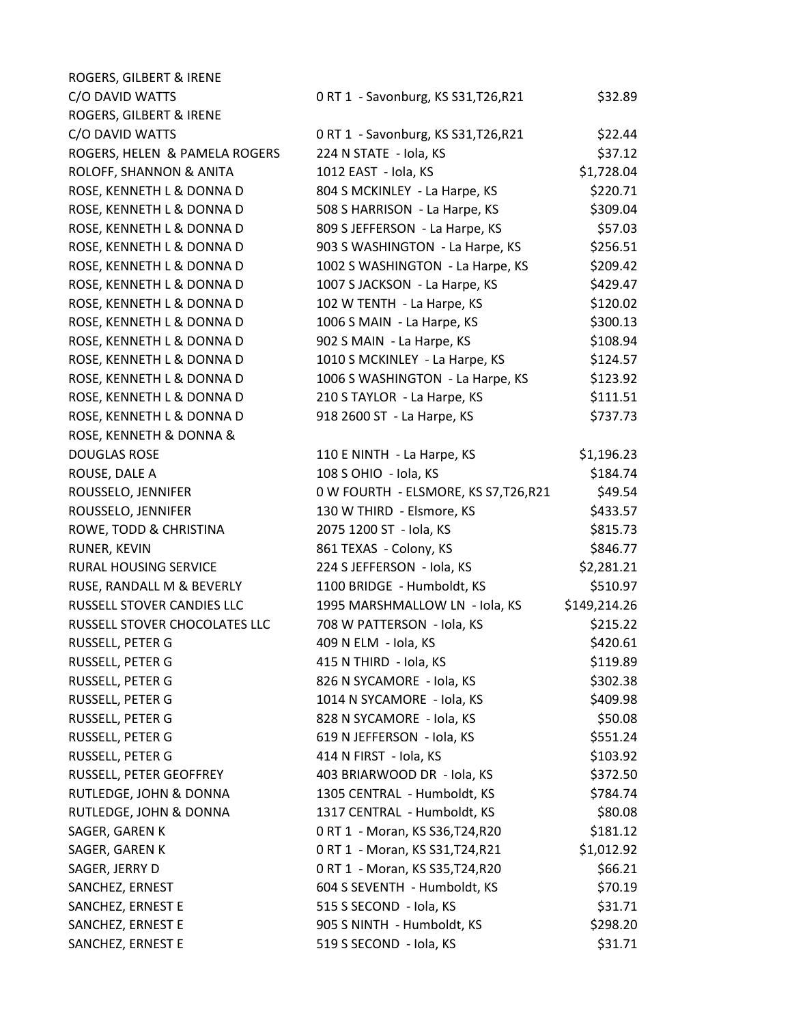| ROGERS, GILBERT & IRENE       |                                       |              |
|-------------------------------|---------------------------------------|--------------|
| C/O DAVID WATTS               | 0 RT 1 - Savonburg, KS S31, T26, R21  | \$32.89      |
| ROGERS, GILBERT & IRENE       |                                       |              |
| C/O DAVID WATTS               | 0 RT 1 - Savonburg, KS S31, T26, R21  | \$22.44      |
| ROGERS, HELEN & PAMELA ROGERS | 224 N STATE - Iola, KS                | \$37.12      |
| ROLOFF, SHANNON & ANITA       | 1012 EAST - Iola, KS                  | \$1,728.04   |
| ROSE, KENNETH L & DONNA D     | 804 S MCKINLEY - La Harpe, KS         | \$220.71     |
| ROSE, KENNETH L & DONNA D     | 508 S HARRISON - La Harpe, KS         | \$309.04     |
| ROSE, KENNETH L & DONNA D     | 809 S JEFFERSON - La Harpe, KS        | \$57.03      |
| ROSE, KENNETH L & DONNA D     | 903 S WASHINGTON - La Harpe, KS       | \$256.51     |
| ROSE, KENNETH L & DONNA D     | 1002 S WASHINGTON - La Harpe, KS      | \$209.42     |
| ROSE, KENNETH L & DONNA D     | 1007 S JACKSON - La Harpe, KS         | \$429.47     |
| ROSE, KENNETH L & DONNA D     | 102 W TENTH - La Harpe, KS            | \$120.02     |
| ROSE, KENNETH L & DONNA D     | 1006 S MAIN - La Harpe, KS            | \$300.13     |
| ROSE, KENNETH L & DONNA D     | 902 S MAIN - La Harpe, KS             | \$108.94     |
| ROSE, KENNETH L & DONNA D     | 1010 S MCKINLEY - La Harpe, KS        | \$124.57     |
| ROSE, KENNETH L & DONNA D     | 1006 S WASHINGTON - La Harpe, KS      | \$123.92     |
| ROSE, KENNETH L & DONNA D     | 210 S TAYLOR - La Harpe, KS           | \$111.51     |
| ROSE, KENNETH L & DONNA D     | 918 2600 ST - La Harpe, KS            | \$737.73     |
| ROSE, KENNETH & DONNA &       |                                       |              |
| <b>DOUGLAS ROSE</b>           | 110 E NINTH - La Harpe, KS            | \$1,196.23   |
| ROUSE, DALE A                 | 108 S OHIO - Iola, KS                 | \$184.74     |
| ROUSSELO, JENNIFER            | 0 W FOURTH - ELSMORE, KS S7, T26, R21 | \$49.54      |
| ROUSSELO, JENNIFER            | 130 W THIRD - Elsmore, KS             | \$433.57     |
| ROWE, TODD & CHRISTINA        | 2075 1200 ST - Iola, KS               | \$815.73     |
| RUNER, KEVIN                  | 861 TEXAS - Colony, KS                | \$846.77     |
| RURAL HOUSING SERVICE         | 224 S JEFFERSON - Iola, KS            | \$2,281.21   |
| RUSE, RANDALL M & BEVERLY     | 1100 BRIDGE - Humboldt, KS            | \$510.97     |
| RUSSELL STOVER CANDIES LLC    | 1995 MARSHMALLOW LN - Iola, KS        | \$149,214.26 |
| RUSSELL STOVER CHOCOLATES LLC | 708 W PATTERSON - Iola, KS            | \$215.22     |
| RUSSELL, PETER G              | 409 N ELM - Iola, KS                  | \$420.61     |
| RUSSELL, PETER G              | 415 N THIRD - Iola, KS                | \$119.89     |
| RUSSELL, PETER G              | 826 N SYCAMORE - Iola, KS             | \$302.38     |
| RUSSELL, PETER G              | 1014 N SYCAMORE - Iola, KS            | \$409.98     |
| RUSSELL, PETER G              | 828 N SYCAMORE - Iola, KS             | \$50.08      |
| RUSSELL, PETER G              | 619 N JEFFERSON - Iola, KS            | \$551.24     |
| RUSSELL, PETER G              | 414 N FIRST - Iola, KS                | \$103.92     |
| RUSSELL, PETER GEOFFREY       | 403 BRIARWOOD DR - Iola, KS           | \$372.50     |
| RUTLEDGE, JOHN & DONNA        | 1305 CENTRAL - Humboldt, KS           | \$784.74     |
| RUTLEDGE, JOHN & DONNA        | 1317 CENTRAL - Humboldt, KS           | \$80.08      |
| SAGER, GAREN K                | 0 RT 1 - Moran, KS S36, T24, R20      | \$181.12     |
| SAGER, GAREN K                | 0 RT 1 - Moran, KS S31, T24, R21      | \$1,012.92   |
| SAGER, JERRY D                | 0 RT 1 - Moran, KS S35, T24, R20      | \$66.21      |
| SANCHEZ, ERNEST               | 604 S SEVENTH - Humboldt, KS          | \$70.19      |
| SANCHEZ, ERNEST E             | 515 S SECOND - Iola, KS               | \$31.71      |
| SANCHEZ, ERNEST E             | 905 S NINTH - Humboldt, KS            | \$298.20     |
| SANCHEZ, ERNEST E             | 519 S SECOND - Iola, KS               | \$31.71      |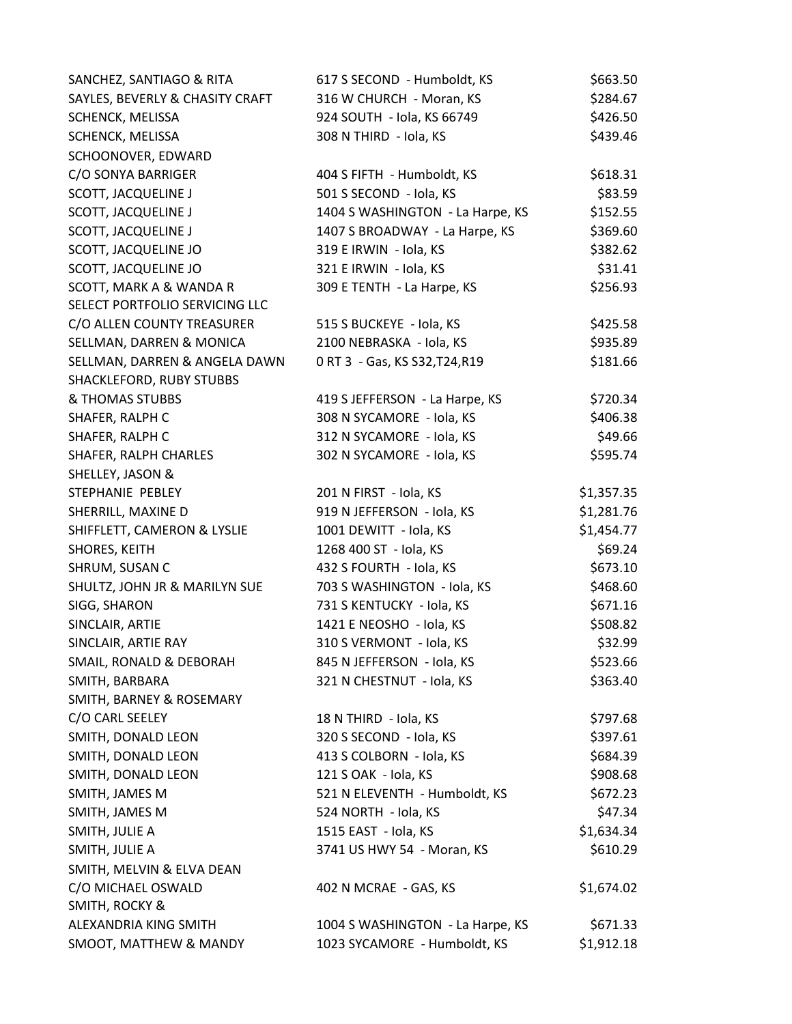| SANCHEZ, SANTIAGO & RITA        | 617 S SECOND - Humboldt, KS      | \$663.50   |
|---------------------------------|----------------------------------|------------|
| SAYLES, BEVERLY & CHASITY CRAFT | 316 W CHURCH - Moran, KS         | \$284.67   |
| SCHENCK, MELISSA                | 924 SOUTH - Iola, KS 66749       | \$426.50   |
| SCHENCK, MELISSA                | 308 N THIRD - Iola, KS           | \$439.46   |
| SCHOONOVER, EDWARD              |                                  |            |
| C/O SONYA BARRIGER              | 404 S FIFTH - Humboldt, KS       | \$618.31   |
| <b>SCOTT, JACQUELINE J</b>      | 501 S SECOND - Iola, KS          | \$83.59    |
| <b>SCOTT, JACQUELINE J</b>      | 1404 S WASHINGTON - La Harpe, KS | \$152.55   |
| <b>SCOTT, JACQUELINE J</b>      | 1407 S BROADWAY - La Harpe, KS   | \$369.60   |
| SCOTT, JACQUELINE JO            | 319 E IRWIN - Iola, KS           | \$382.62   |
| SCOTT, JACQUELINE JO            | 321 E IRWIN - Iola, KS           | \$31.41    |
| SCOTT, MARK A & WANDA R         | 309 E TENTH - La Harpe, KS       | \$256.93   |
| SELECT PORTFOLIO SERVICING LLC  |                                  |            |
| C/O ALLEN COUNTY TREASURER      | 515 S BUCKEYE - Iola, KS         | \$425.58   |
| SELLMAN, DARREN & MONICA        | 2100 NEBRASKA - Iola, KS         | \$935.89   |
| SELLMAN, DARREN & ANGELA DAWN   | 0 RT 3 - Gas, KS S32, T24, R19   | \$181.66   |
| SHACKLEFORD, RUBY STUBBS        |                                  |            |
| & THOMAS STUBBS                 | 419 S JEFFERSON - La Harpe, KS   | \$720.34   |
| SHAFER, RALPH C                 | 308 N SYCAMORE - Iola, KS        | \$406.38   |
| SHAFER, RALPH C                 | 312 N SYCAMORE - Iola, KS        | \$49.66    |
| SHAFER, RALPH CHARLES           | 302 N SYCAMORE - Iola, KS        | \$595.74   |
| SHELLEY, JASON &                |                                  |            |
| STEPHANIE PEBLEY                | 201 N FIRST - Iola, KS           | \$1,357.35 |
| SHERRILL, MAXINE D              | 919 N JEFFERSON - Iola, KS       | \$1,281.76 |
| SHIFFLETT, CAMERON & LYSLIE     | 1001 DEWITT - Iola, KS           | \$1,454.77 |
| SHORES, KEITH                   | 1268 400 ST - Iola, KS           | \$69.24    |
| SHRUM, SUSAN C                  | 432 S FOURTH - Iola, KS          | \$673.10   |
| SHULTZ, JOHN JR & MARILYN SUE   | 703 S WASHINGTON - Iola, KS      | \$468.60   |
| SIGG, SHARON                    | 731 S KENTUCKY - Iola, KS        | \$671.16   |
| SINCLAIR, ARTIE                 | 1421 E NEOSHO - Iola, KS         | \$508.82   |
| SINCLAIR, ARTIE RAY             | 310 S VERMONT - Iola, KS         | \$32.99    |
| SMAIL, RONALD & DEBORAH         | 845 N JEFFERSON - Iola, KS       | \$523.66   |
| SMITH, BARBARA                  | 321 N CHESTNUT - Iola, KS        | \$363.40   |
| SMITH, BARNEY & ROSEMARY        |                                  |            |
| C/O CARL SEELEY                 | 18 N THIRD - Iola, KS            | \$797.68   |
| SMITH, DONALD LEON              | 320 S SECOND - Iola, KS          | \$397.61   |
| SMITH, DONALD LEON              | 413 S COLBORN - Iola, KS         | \$684.39   |
| SMITH, DONALD LEON              | 121 S OAK - Iola, KS             | \$908.68   |
| SMITH, JAMES M                  | 521 N ELEVENTH - Humboldt, KS    | \$672.23   |
| SMITH, JAMES M                  | 524 NORTH - Iola, KS             | \$47.34    |
| SMITH, JULIE A                  | 1515 EAST - Iola, KS             | \$1,634.34 |
| SMITH, JULIE A                  | 3741 US HWY 54 - Moran, KS       | \$610.29   |
| SMITH, MELVIN & ELVA DEAN       |                                  |            |
| C/O MICHAEL OSWALD              | 402 N MCRAE - GAS, KS            | \$1,674.02 |
| SMITH, ROCKY &                  |                                  |            |
| ALEXANDRIA KING SMITH           | 1004 S WASHINGTON - La Harpe, KS | \$671.33   |
| SMOOT, MATTHEW & MANDY          | 1023 SYCAMORE - Humboldt, KS     | \$1,912.18 |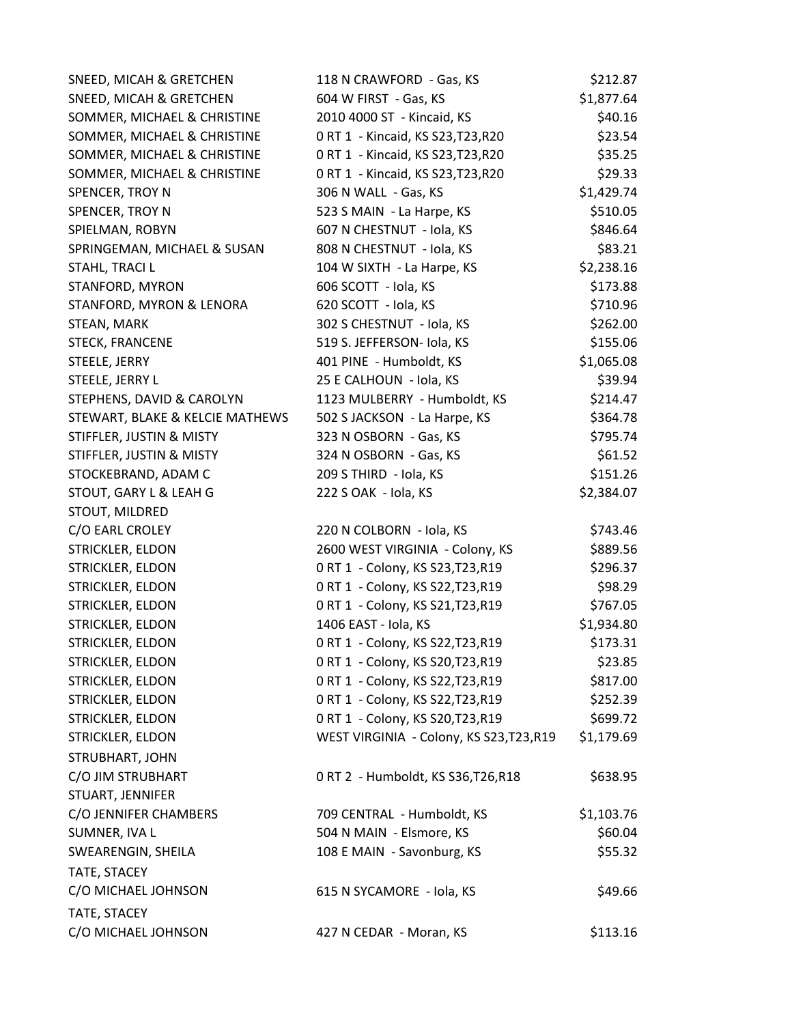| SNEED, MICAH & GRETCHEN         | 118 N CRAWFORD - Gas, KS                 | \$212.87   |
|---------------------------------|------------------------------------------|------------|
| SNEED, MICAH & GRETCHEN         | 604 W FIRST - Gas, KS                    | \$1,877.64 |
| SOMMER, MICHAEL & CHRISTINE     | 2010 4000 ST - Kincaid, KS               | \$40.16    |
| SOMMER, MICHAEL & CHRISTINE     | 0 RT 1 - Kincaid, KS S23, T23, R20       | \$23.54    |
| SOMMER, MICHAEL & CHRISTINE     | 0 RT 1 - Kincaid, KS S23, T23, R20       | \$35.25    |
| SOMMER, MICHAEL & CHRISTINE     | 0 RT 1 - Kincaid, KS S23, T23, R20       | \$29.33    |
| SPENCER, TROY N                 | 306 N WALL - Gas, KS                     | \$1,429.74 |
| SPENCER, TROY N                 | 523 S MAIN - La Harpe, KS                | \$510.05   |
| SPIELMAN, ROBYN                 | 607 N CHESTNUT - Iola, KS                | \$846.64   |
| SPRINGEMAN, MICHAEL & SUSAN     | 808 N CHESTNUT - Iola, KS                | \$83.21    |
| STAHL, TRACI L                  | 104 W SIXTH - La Harpe, KS               | \$2,238.16 |
| STANFORD, MYRON                 | 606 SCOTT - Iola, KS                     | \$173.88   |
| STANFORD, MYRON & LENORA        | 620 SCOTT - Iola, KS                     | \$710.96   |
| STEAN, MARK                     | 302 S CHESTNUT - Iola, KS                | \$262.00   |
| <b>STECK, FRANCENE</b>          | 519 S. JEFFERSON- Iola, KS               | \$155.06   |
| STEELE, JERRY                   | 401 PINE - Humboldt, KS                  | \$1,065.08 |
| STEELE, JERRY L                 | 25 E CALHOUN - Iola, KS                  | \$39.94    |
| STEPHENS, DAVID & CAROLYN       | 1123 MULBERRY - Humboldt, KS             | \$214.47   |
| STEWART, BLAKE & KELCIE MATHEWS | 502 S JACKSON - La Harpe, KS             | \$364.78   |
| STIFFLER, JUSTIN & MISTY        | 323 N OSBORN - Gas, KS                   | \$795.74   |
| STIFFLER, JUSTIN & MISTY        | 324 N OSBORN - Gas, KS                   | \$61.52    |
| STOCKEBRAND, ADAM C             | 209 S THIRD - Iola, KS                   | \$151.26   |
| STOUT, GARY L & LEAH G          | 222 S OAK - Iola, KS                     | \$2,384.07 |
| STOUT, MILDRED                  |                                          |            |
| C/O EARL CROLEY                 | 220 N COLBORN - Iola, KS                 | \$743.46   |
| STRICKLER, ELDON                | 2600 WEST VIRGINIA - Colony, KS          | \$889.56   |
| STRICKLER, ELDON                | 0 RT 1 - Colony, KS S23, T23, R19        | \$296.37   |
| STRICKLER, ELDON                | 0 RT 1 - Colony, KS S22, T23, R19        | \$98.29    |
| STRICKLER, ELDON                | 0 RT 1 - Colony, KS S21, T23, R19        | \$767.05   |
| STRICKLER, ELDON                | 1406 EAST - Iola, KS                     | \$1,934.80 |
| STRICKLER, ELDON                | 0 RT 1 - Colony, KS S22, T23, R19        | \$173.31   |
| STRICKLER, ELDON                | 0 RT 1 - Colony, KS S20, T23, R19        | \$23.85    |
| STRICKLER, ELDON                | 0 RT 1 - Colony, KS S22, T23, R19        | \$817.00   |
| STRICKLER, ELDON                | 0 RT 1 - Colony, KS S22, T23, R19        | \$252.39   |
| STRICKLER, ELDON                | 0 RT 1 - Colony, KS S20, T23, R19        | \$699.72   |
| STRICKLER, ELDON                | WEST VIRGINIA - Colony, KS S23, T23, R19 | \$1,179.69 |
| STRUBHART, JOHN                 |                                          |            |
| C/O JIM STRUBHART               | 0 RT 2 - Humboldt, KS S36, T26, R18      | \$638.95   |
| STUART, JENNIFER                |                                          |            |
| C/O JENNIFER CHAMBERS           | 709 CENTRAL - Humboldt, KS               | \$1,103.76 |
| SUMNER, IVA L                   | 504 N MAIN - Elsmore, KS                 | \$60.04    |
| SWEARENGIN, SHEILA              | 108 E MAIN - Savonburg, KS               | \$55.32    |
| TATE, STACEY                    |                                          |            |
| C/O MICHAEL JOHNSON             | 615 N SYCAMORE - Iola, KS                | \$49.66    |
| TATE, STACEY                    |                                          |            |
| C/O MICHAEL JOHNSON             | 427 N CEDAR - Moran, KS                  | \$113.16   |
|                                 |                                          |            |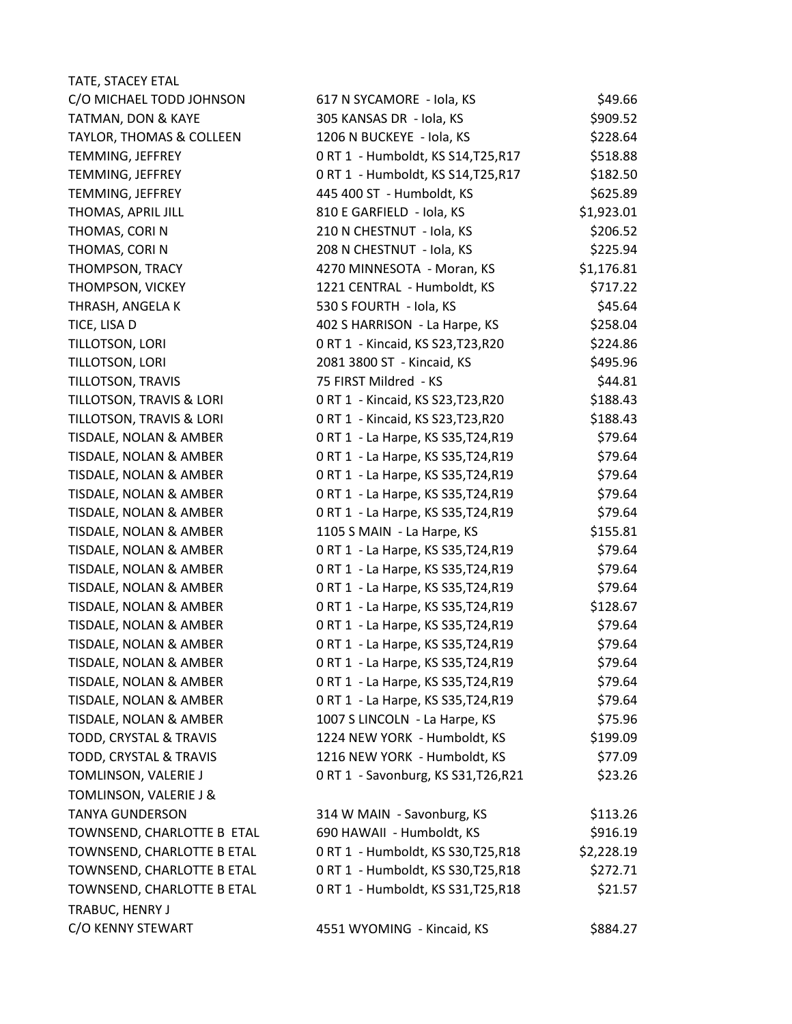| TATE, STACEY ETAL                   |                                      |            |
|-------------------------------------|--------------------------------------|------------|
| C/O MICHAEL TODD JOHNSON            | 617 N SYCAMORE - Iola, KS            | \$49.66    |
| TATMAN, DON & KAYE                  | 305 KANSAS DR - Iola, KS             | \$909.52   |
| <b>TAYLOR, THOMAS &amp; COLLEEN</b> | 1206 N BUCKEYE - Iola, KS            | \$228.64   |
| TEMMING, JEFFREY                    | 0 RT 1 - Humboldt, KS S14, T25, R17  | \$518.88   |
| TEMMING, JEFFREY                    | 0 RT 1 - Humboldt, KS S14, T25, R17  | \$182.50   |
| TEMMING, JEFFREY                    | 445 400 ST - Humboldt, KS            | \$625.89   |
| THOMAS, APRIL JILL                  | 810 E GARFIELD - Iola, KS            | \$1,923.01 |
| THOMAS, CORIN                       | 210 N CHESTNUT - Iola, KS            | \$206.52   |
| THOMAS, CORIN                       | 208 N CHESTNUT - Iola, KS            | \$225.94   |
| THOMPSON, TRACY                     | 4270 MINNESOTA - Moran, KS           | \$1,176.81 |
| THOMPSON, VICKEY                    | 1221 CENTRAL - Humboldt, KS          | \$717.22   |
| THRASH, ANGELA K                    | 530 S FOURTH - Iola, KS              | \$45.64    |
| TICE, LISA D                        | 402 S HARRISON - La Harpe, KS        | \$258.04   |
| TILLOTSON, LORI                     | 0 RT 1 - Kincaid, KS S23, T23, R20   | \$224.86   |
| TILLOTSON, LORI                     | 2081 3800 ST - Kincaid, KS           | \$495.96   |
| TILLOTSON, TRAVIS                   | 75 FIRST Mildred - KS                | \$44.81    |
| TILLOTSON, TRAVIS & LORI            | 0 RT 1 - Kincaid, KS S23, T23, R20   | \$188.43   |
| TILLOTSON, TRAVIS & LORI            | 0 RT 1 - Kincaid, KS S23, T23, R20   | \$188.43   |
| TISDALE, NOLAN & AMBER              | 0 RT 1 - La Harpe, KS S35, T24, R19  | \$79.64    |
| TISDALE, NOLAN & AMBER              | 0 RT 1 - La Harpe, KS S35, T24, R19  | \$79.64    |
| TISDALE, NOLAN & AMBER              | 0 RT 1 - La Harpe, KS S35, T24, R19  | \$79.64    |
| TISDALE, NOLAN & AMBER              | 0 RT 1 - La Harpe, KS S35, T24, R19  | \$79.64    |
| TISDALE, NOLAN & AMBER              | 0 RT 1 - La Harpe, KS S35, T24, R19  | \$79.64    |
| TISDALE, NOLAN & AMBER              | 1105 S MAIN - La Harpe, KS           | \$155.81   |
| TISDALE, NOLAN & AMBER              | 0 RT 1 - La Harpe, KS S35, T24, R19  | \$79.64    |
| TISDALE, NOLAN & AMBER              | 0 RT 1 - La Harpe, KS S35, T24, R19  | \$79.64    |
| TISDALE, NOLAN & AMBER              | 0 RT 1 - La Harpe, KS S35, T24, R19  | \$79.64    |
| TISDALE, NOLAN & AMBER              | 0 RT 1 - La Harpe, KS S35, T24, R19  | \$128.67   |
| TISDALE, NOLAN & AMBER              | 0 RT 1 - La Harpe, KS S35, T24, R19  | \$79.64    |
| TISDALE, NOLAN & AMBER              | 0 RT 1 - La Harpe, KS S35, T24, R19  | \$79.64    |
| TISDALE, NOLAN & AMBER              | 0 RT 1 - La Harpe, KS S35, T24, R19  | \$79.64    |
| TISDALE, NOLAN & AMBER              | 0 RT 1 - La Harpe, KS S35, T24, R19  | \$79.64    |
| TISDALE, NOLAN & AMBER              | 0 RT 1 - La Harpe, KS S35, T24, R19  | \$79.64    |
| TISDALE, NOLAN & AMBER              | 1007 S LINCOLN - La Harpe, KS        | \$75.96    |
| TODD, CRYSTAL & TRAVIS              | 1224 NEW YORK - Humboldt, KS         | \$199.09   |
| TODD, CRYSTAL & TRAVIS              | 1216 NEW YORK - Humboldt, KS         | \$77.09    |
| TOMLINSON, VALERIE J                | 0 RT 1 - Savonburg, KS S31, T26, R21 | \$23.26    |
| TOMLINSON, VALERIE J &              |                                      |            |
| <b>TANYA GUNDERSON</b>              | 314 W MAIN - Savonburg, KS           | \$113.26   |
| TOWNSEND, CHARLOTTE B ETAL          | 690 HAWAII - Humboldt, KS            | \$916.19   |
| TOWNSEND, CHARLOTTE B ETAL          | 0 RT 1 - Humboldt, KS S30, T25, R18  | \$2,228.19 |
| TOWNSEND, CHARLOTTE B ETAL          | 0 RT 1 - Humboldt, KS S30, T25, R18  | \$272.71   |
| TOWNSEND, CHARLOTTE B ETAL          | 0 RT 1 - Humboldt, KS S31, T25, R18  | \$21.57    |
| TRABUC, HENRY J                     |                                      |            |
| C/O KENNY STEWART                   |                                      |            |
|                                     | 4551 WYOMING - Kincaid, KS           | \$884.27   |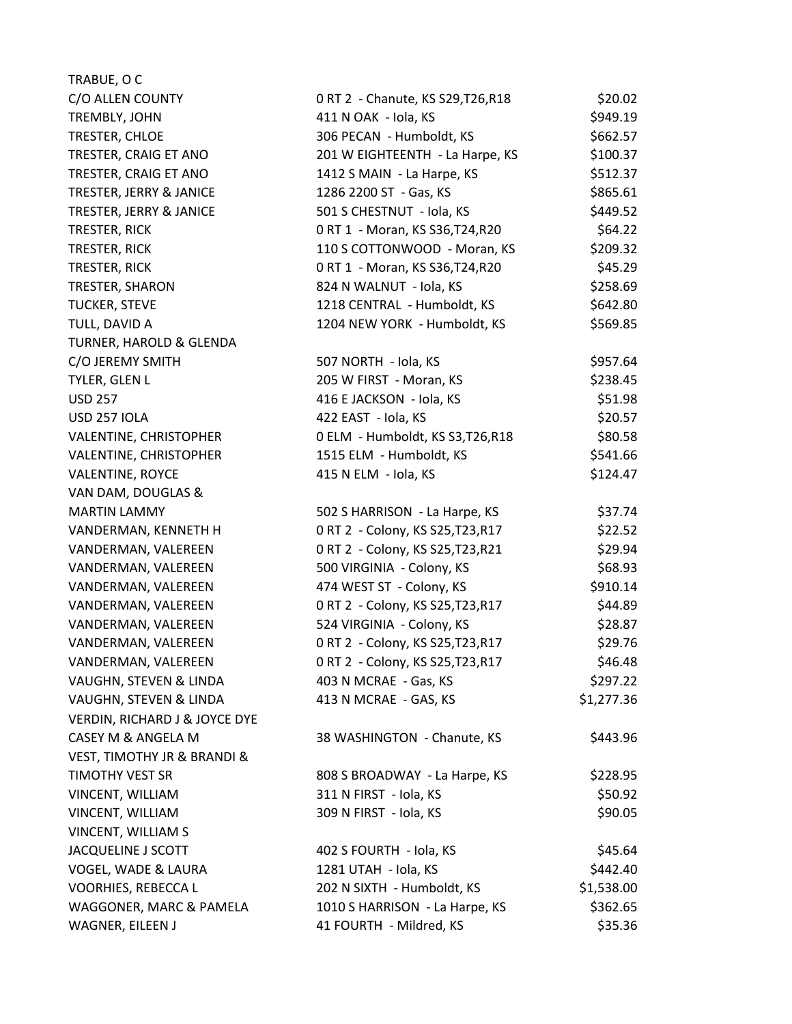| TRABUE, O C                              |                                    |            |
|------------------------------------------|------------------------------------|------------|
| C/O ALLEN COUNTY                         | 0 RT 2 - Chanute, KS S29, T26, R18 | \$20.02    |
| TREMBLY, JOHN                            | 411 N OAK - Iola, KS               | \$949.19   |
| TRESTER, CHLOE                           | 306 PECAN - Humboldt, KS           | \$662.57   |
| TRESTER, CRAIG ET ANO                    | 201 W EIGHTEENTH - La Harpe, KS    | \$100.37   |
| TRESTER, CRAIG ET ANO                    | 1412 S MAIN - La Harpe, KS         | \$512.37   |
| TRESTER, JERRY & JANICE                  | 1286 2200 ST - Gas, KS             | \$865.61   |
| TRESTER, JERRY & JANICE                  | 501 S CHESTNUT - Iola, KS          | \$449.52   |
| TRESTER, RICK                            | 0 RT 1 - Moran, KS S36, T24, R20   | \$64.22    |
| TRESTER, RICK                            | 110 S COTTONWOOD - Moran, KS       | \$209.32   |
| TRESTER, RICK                            | 0 RT 1 - Moran, KS S36, T24, R20   | \$45.29    |
| TRESTER, SHARON                          | 824 N WALNUT - Iola, KS            | \$258.69   |
| <b>TUCKER, STEVE</b>                     | 1218 CENTRAL - Humboldt, KS        | \$642.80   |
| TULL, DAVID A                            | 1204 NEW YORK - Humboldt, KS       | \$569.85   |
| TURNER, HAROLD & GLENDA                  |                                    |            |
| C/O JEREMY SMITH                         | 507 NORTH - Iola, KS               | \$957.64   |
| TYLER, GLEN L                            | 205 W FIRST - Moran, KS            | \$238.45   |
| <b>USD 257</b>                           | 416 E JACKSON - Iola, KS           | \$51.98    |
| <b>USD 257 IOLA</b>                      | 422 EAST - Iola, KS                | \$20.57    |
| VALENTINE, CHRISTOPHER                   | 0 ELM - Humboldt, KS S3, T26, R18  | \$80.58    |
| VALENTINE, CHRISTOPHER                   | 1515 ELM - Humboldt, KS            | \$541.66   |
| <b>VALENTINE, ROYCE</b>                  | 415 N ELM - Iola, KS               | \$124.47   |
| VAN DAM, DOUGLAS &                       |                                    |            |
| <b>MARTIN LAMMY</b>                      | 502 S HARRISON - La Harpe, KS      | \$37.74    |
| VANDERMAN, KENNETH H                     | 0 RT 2 - Colony, KS S25, T23, R17  | \$22.52    |
| VANDERMAN, VALEREEN                      | 0 RT 2 - Colony, KS S25, T23, R21  | \$29.94    |
| VANDERMAN, VALEREEN                      | 500 VIRGINIA - Colony, KS          | \$68.93    |
| VANDERMAN, VALEREEN                      | 474 WEST ST - Colony, KS           | \$910.14   |
| VANDERMAN, VALEREEN                      | 0 RT 2 - Colony, KS S25, T23, R17  | \$44.89    |
| VANDERMAN, VALEREEN                      | 524 VIRGINIA - Colony, KS          | \$28.87    |
| VANDERMAN, VALEREEN                      | 0 RT 2 - Colony, KS S25, T23, R17  | \$29.76    |
| VANDERMAN, VALEREEN                      | 0 RT 2 - Colony, KS S25, T23, R17  | \$46.48    |
| VAUGHN, STEVEN & LINDA                   | 403 N MCRAE - Gas, KS              | \$297.22   |
| VAUGHN, STEVEN & LINDA                   | 413 N MCRAE - GAS, KS              | \$1,277.36 |
| <b>VERDIN, RICHARD J &amp; JOYCE DYE</b> |                                    |            |
| CASEY M & ANGELA M                       | 38 WASHINGTON - Chanute, KS        | \$443.96   |
| VEST, TIMOTHY JR & BRANDI &              |                                    |            |
| <b>TIMOTHY VEST SR</b>                   | 808 S BROADWAY - La Harpe, KS      | \$228.95   |
| VINCENT, WILLIAM                         | 311 N FIRST - Iola, KS             | \$50.92    |
| VINCENT, WILLIAM                         | 309 N FIRST - Iola, KS             | \$90.05    |
| VINCENT, WILLIAM S                       |                                    |            |
| JACQUELINE J SCOTT                       | 402 S FOURTH - Iola, KS            | \$45.64    |
| VOGEL, WADE & LAURA                      | 1281 UTAH - Iola, KS               | \$442.40   |
| VOORHIES, REBECCA L                      | 202 N SIXTH - Humboldt, KS         | \$1,538.00 |
| WAGGONER, MARC & PAMELA                  | 1010 S HARRISON - La Harpe, KS     | \$362.65   |
| WAGNER, EILEEN J                         | 41 FOURTH - Mildred, KS            | \$35.36    |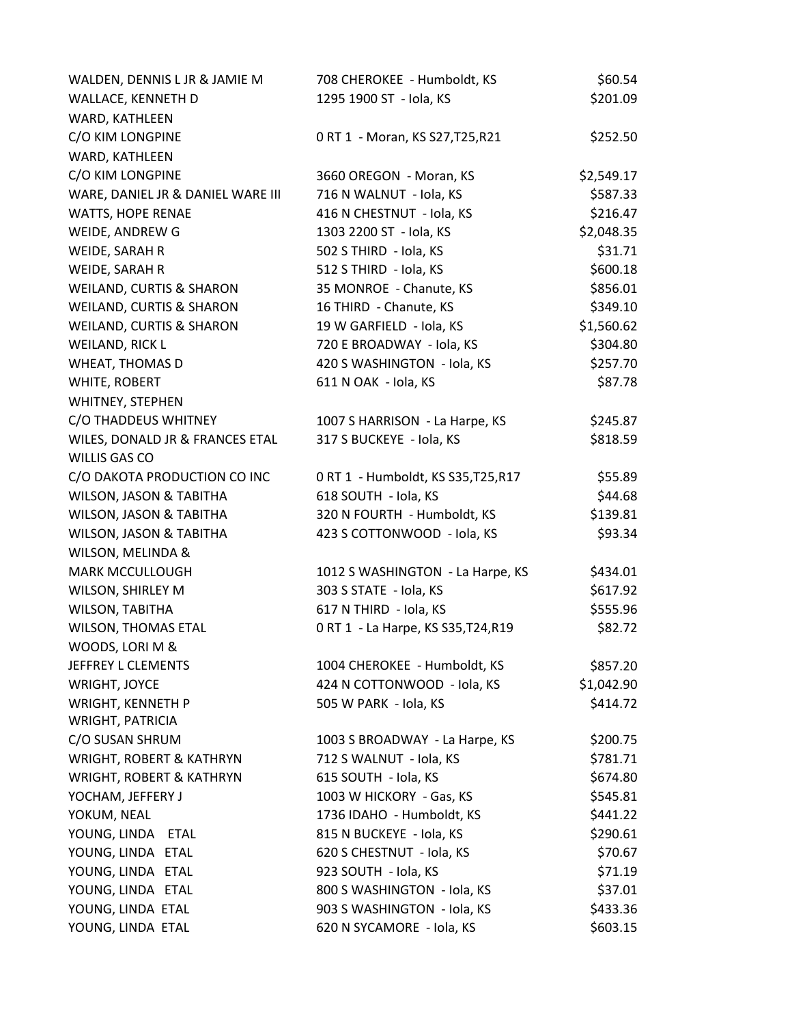| WALDEN, DENNIS L JR & JAMIE M       | 708 CHEROKEE - Humboldt, KS         | \$60.54    |
|-------------------------------------|-------------------------------------|------------|
| WALLACE, KENNETH D                  | 1295 1900 ST - Iola, KS             | \$201.09   |
| WARD, KATHLEEN                      |                                     |            |
| C/O KIM LONGPINE                    | 0 RT 1 - Moran, KS S27, T25, R21    | \$252.50   |
| WARD, KATHLEEN                      |                                     |            |
| C/O KIM LONGPINE                    | 3660 OREGON - Moran, KS             | \$2,549.17 |
| WARE, DANIEL JR & DANIEL WARE III   | 716 N WALNUT - Iola, KS             | \$587.33   |
| WATTS, HOPE RENAE                   | 416 N CHESTNUT - Iola, KS           | \$216.47   |
| WEIDE, ANDREW G                     | 1303 2200 ST - Iola, KS             | \$2,048.35 |
| WEIDE, SARAH R                      | 502 S THIRD - Iola, KS              | \$31.71    |
| WEIDE, SARAH R                      | 512 S THIRD - Iola, KS              | \$600.18   |
| WEILAND, CURTIS & SHARON            | 35 MONROE - Chanute, KS             | \$856.01   |
| WEILAND, CURTIS & SHARON            | 16 THIRD - Chanute, KS              | \$349.10   |
| <b>WEILAND, CURTIS &amp; SHARON</b> | 19 W GARFIELD - Iola, KS            | \$1,560.62 |
| WEILAND, RICK L                     | 720 E BROADWAY - Iola, KS           | \$304.80   |
| WHEAT, THOMAS D                     | 420 S WASHINGTON - Iola, KS         | \$257.70   |
| WHITE, ROBERT                       | 611 N OAK - Iola, KS                | \$87.78    |
| WHITNEY, STEPHEN                    |                                     |            |
| C/O THADDEUS WHITNEY                | 1007 S HARRISON - La Harpe, KS      | \$245.87   |
| WILES, DONALD JR & FRANCES ETAL     | 317 S BUCKEYE - Iola, KS            | \$818.59   |
| WILLIS GAS CO                       |                                     |            |
| C/O DAKOTA PRODUCTION CO INC        | 0 RT 1 - Humboldt, KS S35, T25, R17 | \$55.89    |
| WILSON, JASON & TABITHA             | 618 SOUTH - Iola, KS                | \$44.68    |
| WILSON, JASON & TABITHA             | 320 N FOURTH - Humboldt, KS         | \$139.81   |
| WILSON, JASON & TABITHA             | 423 S COTTONWOOD - Iola, KS         | \$93.34    |
| WILSON, MELINDA &                   |                                     |            |
| <b>MARK MCCULLOUGH</b>              | 1012 S WASHINGTON - La Harpe, KS    | \$434.01   |
| WILSON, SHIRLEY M                   | 303 S STATE - Iola, KS              | \$617.92   |
| WILSON, TABITHA                     | 617 N THIRD - Iola, KS              | \$555.96   |
| WILSON, THOMAS ETAL                 | 0 RT 1 - La Harpe, KS S35, T24, R19 | \$82.72    |
| WOODS, LORI M &                     |                                     |            |
| JEFFREY L CLEMENTS                  | 1004 CHEROKEE - Humboldt, KS        | \$857.20   |
| WRIGHT, JOYCE                       | 424 N COTTONWOOD - Iola, KS         | \$1,042.90 |
| WRIGHT, KENNETH P                   | 505 W PARK - Iola, KS               | \$414.72   |
| WRIGHT, PATRICIA                    |                                     |            |
| C/O SUSAN SHRUM                     | 1003 S BROADWAY - La Harpe, KS      | \$200.75   |
| WRIGHT, ROBERT & KATHRYN            | 712 S WALNUT - Iola, KS             | \$781.71   |
| <b>WRIGHT, ROBERT &amp; KATHRYN</b> | 615 SOUTH - Iola, KS                | \$674.80   |
| YOCHAM, JEFFERY J                   | 1003 W HICKORY - Gas, KS            | \$545.81   |
| YOKUM, NEAL                         | 1736 IDAHO - Humboldt, KS           | \$441.22   |
| YOUNG, LINDA ETAL                   | 815 N BUCKEYE - Iola, KS            | \$290.61   |
| YOUNG, LINDA ETAL                   | 620 S CHESTNUT - Iola, KS           | \$70.67    |
| YOUNG, LINDA ETAL                   | 923 SOUTH - Iola, KS                | \$71.19    |
| YOUNG, LINDA ETAL                   | 800 S WASHINGTON - Iola, KS         | \$37.01    |
| YOUNG, LINDA ETAL                   | 903 S WASHINGTON - Iola, KS         | \$433.36   |
| YOUNG, LINDA ETAL                   | 620 N SYCAMORE - Iola, KS           | \$603.15   |